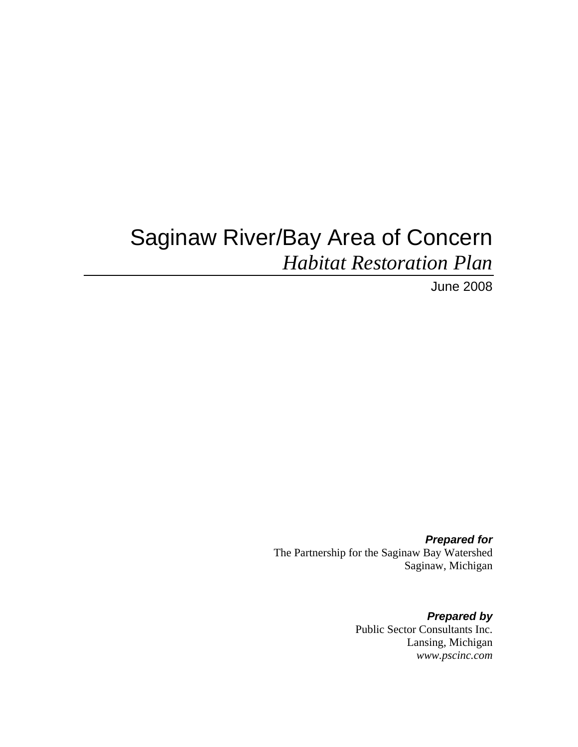# Saginaw River/Bay Area of Concern *Habitat Restoration Plan*

June 2008

*Prepared for*  The Partnership for the Saginaw Bay Watershed Saginaw, Michigan

> *Prepared by*  Public Sector Consultants Inc. Lansing, Michigan *www.pscinc.com*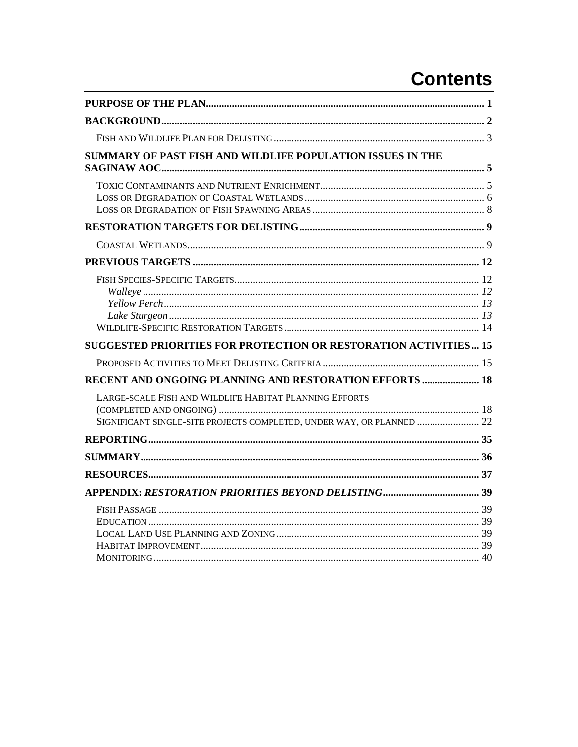# **Contents**

| SUMMARY OF PAST FISH AND WILDLIFE POPULATION ISSUES IN THE                                                                      |  |
|---------------------------------------------------------------------------------------------------------------------------------|--|
|                                                                                                                                 |  |
|                                                                                                                                 |  |
|                                                                                                                                 |  |
|                                                                                                                                 |  |
|                                                                                                                                 |  |
| SUGGESTED PRIORITIES FOR PROTECTION OR RESTORATION ACTIVITIES 15                                                                |  |
|                                                                                                                                 |  |
| RECENT AND ONGOING PLANNING AND RESTORATION EFFORTS  18                                                                         |  |
| LARGE-SCALE FISH AND WILDLIFE HABITAT PLANNING EFFORTS<br>SIGNIFICANT SINGLE-SITE PROJECTS COMPLETED, UNDER WAY, OR PLANNED  22 |  |
|                                                                                                                                 |  |
|                                                                                                                                 |  |
|                                                                                                                                 |  |
|                                                                                                                                 |  |
|                                                                                                                                 |  |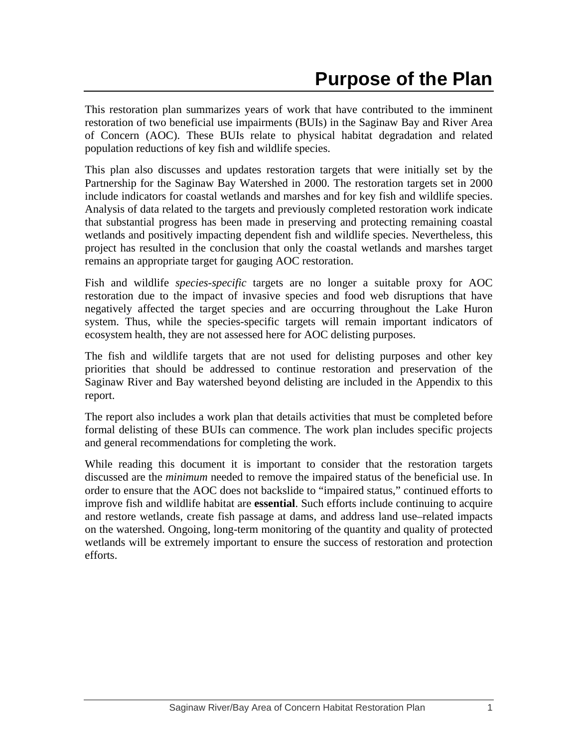This restoration plan summarizes years of work that have contributed to the imminent restoration of two beneficial use impairments (BUIs) in the Saginaw Bay and River Area of Concern (AOC). These BUIs relate to physical habitat degradation and related population reductions of key fish and wildlife species.

This plan also discusses and updates restoration targets that were initially set by the Partnership for the Saginaw Bay Watershed in 2000. The restoration targets set in 2000 include indicators for coastal wetlands and marshes and for key fish and wildlife species. Analysis of data related to the targets and previously completed restoration work indicate that substantial progress has been made in preserving and protecting remaining coastal wetlands and positively impacting dependent fish and wildlife species. Nevertheless, this project has resulted in the conclusion that only the coastal wetlands and marshes target remains an appropriate target for gauging AOC restoration.

Fish and wildlife *species-specific* targets are no longer a suitable proxy for AOC restoration due to the impact of invasive species and food web disruptions that have negatively affected the target species and are occurring throughout the Lake Huron system. Thus, while the species-specific targets will remain important indicators of ecosystem health, they are not assessed here for AOC delisting purposes.

The fish and wildlife targets that are not used for delisting purposes and other key priorities that should be addressed to continue restoration and preservation of the Saginaw River and Bay watershed beyond delisting are included in the Appendix to this report.

The report also includes a work plan that details activities that must be completed before formal delisting of these BUIs can commence. The work plan includes specific projects and general recommendations for completing the work.

While reading this document it is important to consider that the restoration targets discussed are the *minimum* needed to remove the impaired status of the beneficial use. In order to ensure that the AOC does not backslide to "impaired status," continued efforts to improve fish and wildlife habitat are **essential**. Such efforts include continuing to acquire and restore wetlands, create fish passage at dams, and address land use–related impacts on the watershed. Ongoing, long-term monitoring of the quantity and quality of protected wetlands will be extremely important to ensure the success of restoration and protection efforts.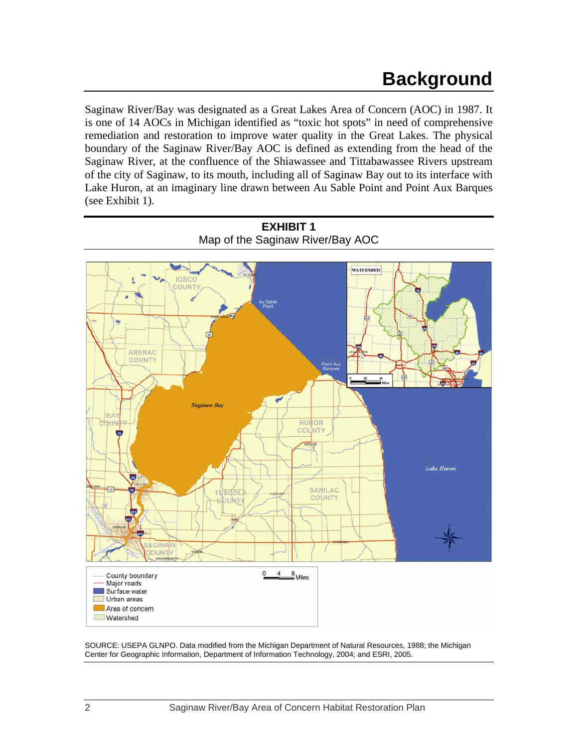Saginaw River/Bay was designated as a Great Lakes Area of Concern (AOC) in 1987. It is one of 14 AOCs in Michigan identified as "toxic hot spots" in need of comprehensive remediation and restoration to improve water quality in the Great Lakes. The physical boundary of the Saginaw River/Bay AOC is defined as extending from the head of the Saginaw River, at the confluence of the Shiawassee and Tittabawassee Rivers upstream of the city of Saginaw, to its mouth, including all of Saginaw Bay out to its interface with Lake Huron, at an imaginary line drawn between Au Sable Point and Point Aux Barques (see Exhibit 1).





SOURCE: USEPA GLNPO. Data modified from the Michigan Department of Natural Resources, 1988; the Michigan Center for Geographic Information, Department of Information Technology, 2004; and ESRI, 2005.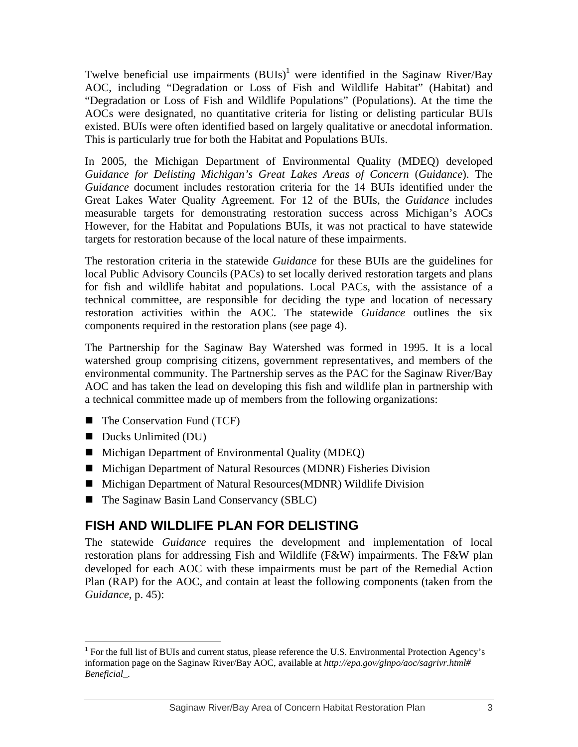Twelve beneficial use impairments  $(BUIs)^1$  were identified in the Saginaw River/Bay AOC, including "Degradation or Loss of Fish and Wildlife Habitat" (Habitat) and "Degradation or Loss of Fish and Wildlife Populations" (Populations). At the time the AOCs were designated, no quantitative criteria for listing or delisting particular BUIs existed. BUIs were often identified based on largely qualitative or anecdotal information. This is particularly true for both the Habitat and Populations BUIs.

In 2005, the Michigan Department of Environmental Quality (MDEQ) developed *Guidance for Delisting Michigan's Great Lakes Areas of Concern* (*Guidance*). The *Guidance* document includes restoration criteria for the 14 BUIs identified under the Great Lakes Water Quality Agreement. For 12 of the BUIs, the *Guidance* includes measurable targets for demonstrating restoration success across Michigan's AOCs However, for the Habitat and Populations BUIs, it was not practical to have statewide targets for restoration because of the local nature of these impairments.

The restoration criteria in the statewide *Guidance* for these BUIs are the guidelines for local Public Advisory Councils (PACs) to set locally derived restoration targets and plans for fish and wildlife habitat and populations. Local PACs, with the assistance of a technical committee, are responsible for deciding the type and location of necessary restoration activities within the AOC. The statewide *Guidance* outlines the six components required in the restoration plans (see page 4).

The Partnership for the Saginaw Bay Watershed was formed in 1995. It is a local watershed group comprising citizens, government representatives, and members of the environmental community. The Partnership serves as the PAC for the Saginaw River/Bay AOC and has taken the lead on developing this fish and wildlife plan in partnership with a technical committee made up of members from the following organizations:

- The Conservation Fund (TCF)
- Ducks Unlimited (DU)

 $\overline{a}$ 

- Michigan Department of Environmental Quality (MDEQ)
- Michigan Department of Natural Resources (MDNR) Fisheries Division
- Michigan Department of Natural Resources(MDNR) Wildlife Division
- The Saginaw Basin Land Conservancy (SBLC)

## **FISH AND WILDLIFE PLAN FOR DELISTING**

The statewide *Guidance* requires the development and implementation of local restoration plans for addressing Fish and Wildlife (F&W) impairments. The F&W plan developed for each AOC with these impairments must be part of the Remedial Action Plan (RAP) for the AOC, and contain at least the following components (taken from the *Guidance*, p. 45):

<sup>&</sup>lt;sup>1</sup> For the full list of BUIs and current status, please reference the U.S. Environmental Protection Agency's information page on the Saginaw River/Bay AOC, available at *http://epa.gov/glnpo/aoc/sagrivr.html# Beneficial\_.*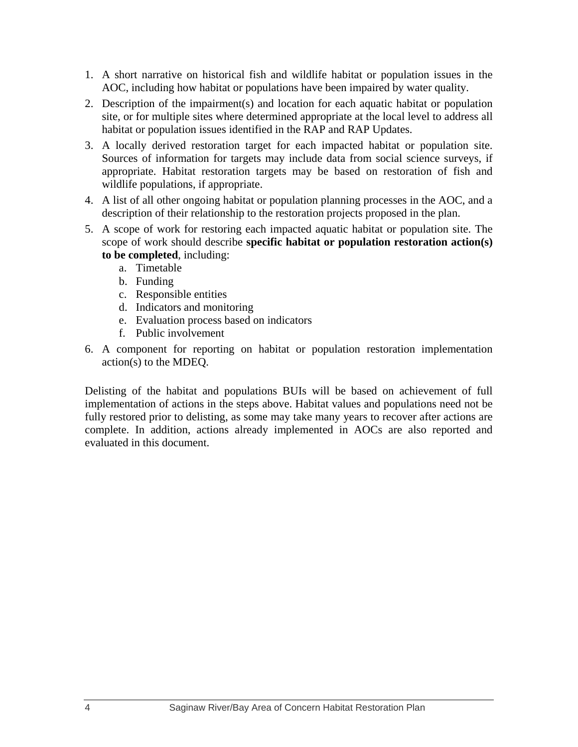- 1. A short narrative on historical fish and wildlife habitat or population issues in the AOC, including how habitat or populations have been impaired by water quality.
- 2. Description of the impairment(s) and location for each aquatic habitat or population site, or for multiple sites where determined appropriate at the local level to address all habitat or population issues identified in the RAP and RAP Updates.
- 3. A locally derived restoration target for each impacted habitat or population site. Sources of information for targets may include data from social science surveys, if appropriate. Habitat restoration targets may be based on restoration of fish and wildlife populations, if appropriate.
- 4. A list of all other ongoing habitat or population planning processes in the AOC, and a description of their relationship to the restoration projects proposed in the plan.
- 5. A scope of work for restoring each impacted aquatic habitat or population site. The scope of work should describe **specific habitat or population restoration action(s) to be completed**, including:
	- a. Timetable
	- b. Funding
	- c. Responsible entities
	- d. Indicators and monitoring
	- e. Evaluation process based on indicators
	- f. Public involvement
- 6. A component for reporting on habitat or population restoration implementation action(s) to the MDEQ.

Delisting of the habitat and populations BUIs will be based on achievement of full implementation of actions in the steps above. Habitat values and populations need not be fully restored prior to delisting, as some may take many years to recover after actions are complete. In addition, actions already implemented in AOCs are also reported and evaluated in this document.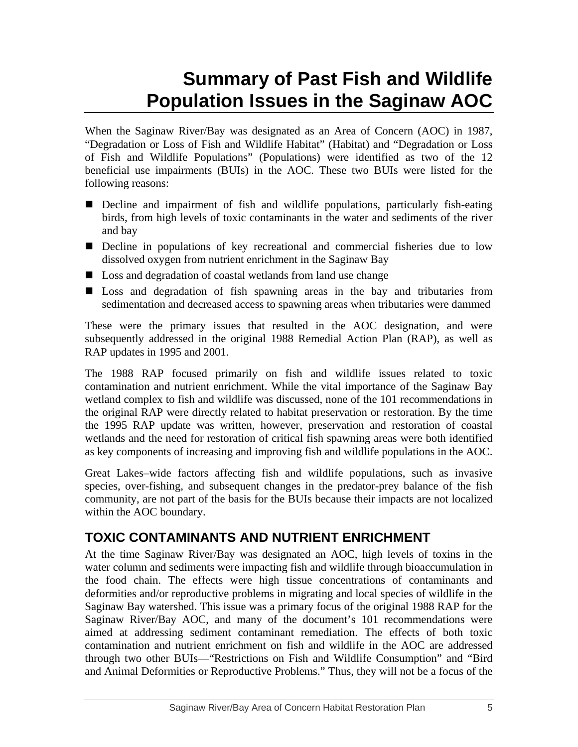# **Summary of Past Fish and Wildlife Population Issues in the Saginaw AOC**

When the Saginaw River/Bay was designated as an Area of Concern (AOC) in 1987, "Degradation or Loss of Fish and Wildlife Habitat" (Habitat) and "Degradation or Loss of Fish and Wildlife Populations" (Populations) were identified as two of the 12 beneficial use impairments (BUIs) in the AOC. These two BUIs were listed for the following reasons:

- Decline and impairment of fish and wildlife populations, particularly fish-eating birds, from high levels of toxic contaminants in the water and sediments of the river and bay
- Decline in populations of key recreational and commercial fisheries due to low dissolved oxygen from nutrient enrichment in the Saginaw Bay
- Loss and degradation of coastal wetlands from land use change
- Loss and degradation of fish spawning areas in the bay and tributaries from sedimentation and decreased access to spawning areas when tributaries were dammed

These were the primary issues that resulted in the AOC designation, and were subsequently addressed in the original 1988 Remedial Action Plan (RAP), as well as RAP updates in 1995 and 2001.

The 1988 RAP focused primarily on fish and wildlife issues related to toxic contamination and nutrient enrichment. While the vital importance of the Saginaw Bay wetland complex to fish and wildlife was discussed, none of the 101 recommendations in the original RAP were directly related to habitat preservation or restoration. By the time the 1995 RAP update was written, however, preservation and restoration of coastal wetlands and the need for restoration of critical fish spawning areas were both identified as key components of increasing and improving fish and wildlife populations in the AOC.

Great Lakes–wide factors affecting fish and wildlife populations, such as invasive species, over-fishing, and subsequent changes in the predator-prey balance of the fish community, are not part of the basis for the BUIs because their impacts are not localized within the AOC boundary.

# **TOXIC CONTAMINANTS AND NUTRIENT ENRICHMENT**

At the time Saginaw River/Bay was designated an AOC, high levels of toxins in the water column and sediments were impacting fish and wildlife through bioaccumulation in the food chain. The effects were high tissue concentrations of contaminants and deformities and/or reproductive problems in migrating and local species of wildlife in the Saginaw Bay watershed. This issue was a primary focus of the original 1988 RAP for the Saginaw River/Bay AOC, and many of the document's 101 recommendations were aimed at addressing sediment contaminant remediation. The effects of both toxic contamination and nutrient enrichment on fish and wildlife in the AOC are addressed through two other BUIs—"Restrictions on Fish and Wildlife Consumption" and "Bird and Animal Deformities or Reproductive Problems." Thus, they will not be a focus of the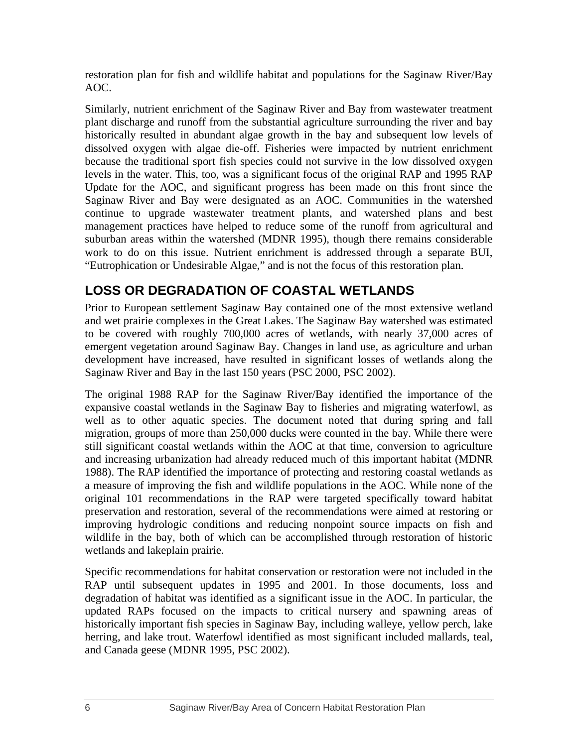restoration plan for fish and wildlife habitat and populations for the Saginaw River/Bay AOC.

Similarly, nutrient enrichment of the Saginaw River and Bay from wastewater treatment plant discharge and runoff from the substantial agriculture surrounding the river and bay historically resulted in abundant algae growth in the bay and subsequent low levels of dissolved oxygen with algae die-off. Fisheries were impacted by nutrient enrichment because the traditional sport fish species could not survive in the low dissolved oxygen levels in the water. This, too, was a significant focus of the original RAP and 1995 RAP Update for the AOC, and significant progress has been made on this front since the Saginaw River and Bay were designated as an AOC. Communities in the watershed continue to upgrade wastewater treatment plants, and watershed plans and best management practices have helped to reduce some of the runoff from agricultural and suburban areas within the watershed (MDNR 1995), though there remains considerable work to do on this issue. Nutrient enrichment is addressed through a separate BUI, "Eutrophication or Undesirable Algae," and is not the focus of this restoration plan.

## **LOSS OR DEGRADATION OF COASTAL WETLANDS**

Prior to European settlement Saginaw Bay contained one of the most extensive wetland and wet prairie complexes in the Great Lakes. The Saginaw Bay watershed was estimated to be covered with roughly 700,000 acres of wetlands, with nearly 37,000 acres of emergent vegetation around Saginaw Bay. Changes in land use, as agriculture and urban development have increased, have resulted in significant losses of wetlands along the Saginaw River and Bay in the last 150 years (PSC 2000, PSC 2002).

The original 1988 RAP for the Saginaw River/Bay identified the importance of the expansive coastal wetlands in the Saginaw Bay to fisheries and migrating waterfowl, as well as to other aquatic species. The document noted that during spring and fall migration, groups of more than 250,000 ducks were counted in the bay. While there were still significant coastal wetlands within the AOC at that time, conversion to agriculture and increasing urbanization had already reduced much of this important habitat (MDNR 1988). The RAP identified the importance of protecting and restoring coastal wetlands as a measure of improving the fish and wildlife populations in the AOC. While none of the original 101 recommendations in the RAP were targeted specifically toward habitat preservation and restoration, several of the recommendations were aimed at restoring or improving hydrologic conditions and reducing nonpoint source impacts on fish and wildlife in the bay, both of which can be accomplished through restoration of historic wetlands and lakeplain prairie.

Specific recommendations for habitat conservation or restoration were not included in the RAP until subsequent updates in 1995 and 2001. In those documents, loss and degradation of habitat was identified as a significant issue in the AOC. In particular, the updated RAPs focused on the impacts to critical nursery and spawning areas of historically important fish species in Saginaw Bay, including walleye, yellow perch, lake herring, and lake trout. Waterfowl identified as most significant included mallards, teal, and Canada geese (MDNR 1995, PSC 2002).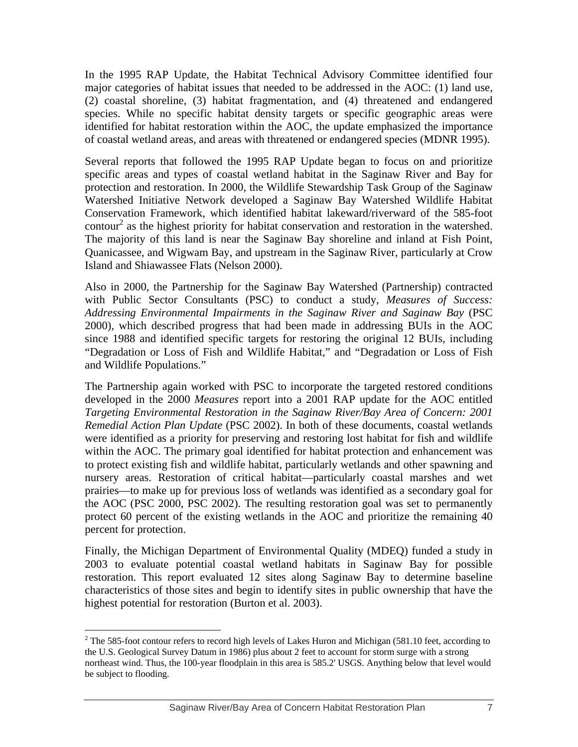In the 1995 RAP Update, the Habitat Technical Advisory Committee identified four major categories of habitat issues that needed to be addressed in the AOC: (1) land use, (2) coastal shoreline, (3) habitat fragmentation, and (4) threatened and endangered species. While no specific habitat density targets or specific geographic areas were identified for habitat restoration within the AOC, the update emphasized the importance of coastal wetland areas, and areas with threatened or endangered species (MDNR 1995).

Several reports that followed the 1995 RAP Update began to focus on and prioritize specific areas and types of coastal wetland habitat in the Saginaw River and Bay for protection and restoration. In 2000, the Wildlife Stewardship Task Group of the Saginaw Watershed Initiative Network developed a Saginaw Bay Watershed Wildlife Habitat Conservation Framework, which identified habitat lakeward/riverward of the 585-foot contour<sup>2</sup> as the highest priority for habitat conservation and restoration in the watershed. The majority of this land is near the Saginaw Bay shoreline and inland at Fish Point, Quanicassee, and Wigwam Bay, and upstream in the Saginaw River, particularly at Crow Island and Shiawassee Flats (Nelson 2000).

Also in 2000, the Partnership for the Saginaw Bay Watershed (Partnership) contracted with Public Sector Consultants (PSC) to conduct a study, *Measures of Success: Addressing Environmental Impairments in the Saginaw River and Saginaw Bay* (PSC 2000), which described progress that had been made in addressing BUIs in the AOC since 1988 and identified specific targets for restoring the original 12 BUIs, including "Degradation or Loss of Fish and Wildlife Habitat," and "Degradation or Loss of Fish and Wildlife Populations."

The Partnership again worked with PSC to incorporate the targeted restored conditions developed in the 2000 *Measures* report into a 2001 RAP update for the AOC entitled *Targeting Environmental Restoration in the Saginaw River/Bay Area of Concern: 2001 Remedial Action Plan Update* (PSC 2002). In both of these documents, coastal wetlands were identified as a priority for preserving and restoring lost habitat for fish and wildlife within the AOC. The primary goal identified for habitat protection and enhancement was to protect existing fish and wildlife habitat, particularly wetlands and other spawning and nursery areas. Restoration of critical habitat—particularly coastal marshes and wet prairies—to make up for previous loss of wetlands was identified as a secondary goal for the AOC (PSC 2000, PSC 2002). The resulting restoration goal was set to permanently protect 60 percent of the existing wetlands in the AOC and prioritize the remaining 40 percent for protection.

Finally, the Michigan Department of Environmental Quality (MDEQ) funded a study in 2003 to evaluate potential coastal wetland habitats in Saginaw Bay for possible restoration. This report evaluated 12 sites along Saginaw Bay to determine baseline characteristics of those sites and begin to identify sites in public ownership that have the highest potential for restoration (Burton et al. 2003).

 $\overline{a}$ 

<sup>&</sup>lt;sup>2</sup> The 585-foot contour refers to record high levels of Lakes Huron and Michigan (581.10 feet, according to the U.S. Geological Survey Datum in 1986) plus about 2 feet to account for storm surge with a strong northeast wind. Thus, the 100-year floodplain in this area is 585.2' USGS. Anything below that level would be subject to flooding.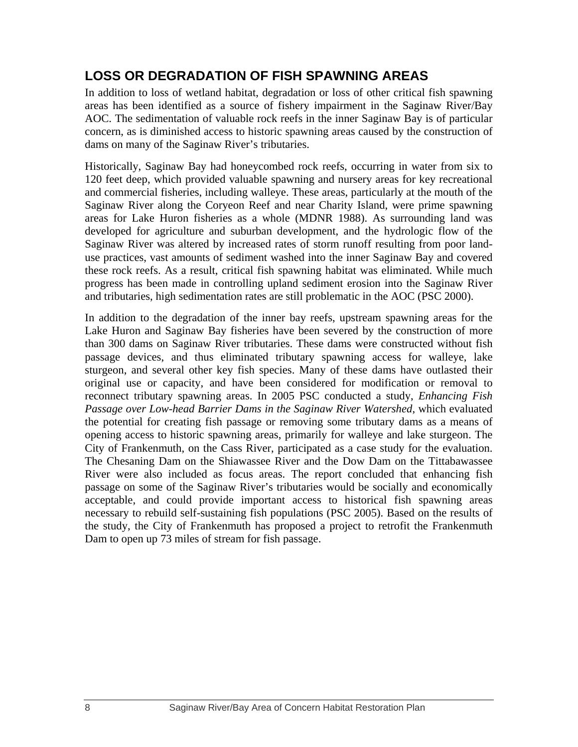## **LOSS OR DEGRADATION OF FISH SPAWNING AREAS**

In addition to loss of wetland habitat, degradation or loss of other critical fish spawning areas has been identified as a source of fishery impairment in the Saginaw River/Bay AOC. The sedimentation of valuable rock reefs in the inner Saginaw Bay is of particular concern, as is diminished access to historic spawning areas caused by the construction of dams on many of the Saginaw River's tributaries.

Historically, Saginaw Bay had honeycombed rock reefs, occurring in water from six to 120 feet deep, which provided valuable spawning and nursery areas for key recreational and commercial fisheries, including walleye. These areas, particularly at the mouth of the Saginaw River along the Coryeon Reef and near Charity Island, were prime spawning areas for Lake Huron fisheries as a whole (MDNR 1988). As surrounding land was developed for agriculture and suburban development, and the hydrologic flow of the Saginaw River was altered by increased rates of storm runoff resulting from poor landuse practices, vast amounts of sediment washed into the inner Saginaw Bay and covered these rock reefs. As a result, critical fish spawning habitat was eliminated. While much progress has been made in controlling upland sediment erosion into the Saginaw River and tributaries, high sedimentation rates are still problematic in the AOC (PSC 2000).

In addition to the degradation of the inner bay reefs, upstream spawning areas for the Lake Huron and Saginaw Bay fisheries have been severed by the construction of more than 300 dams on Saginaw River tributaries. These dams were constructed without fish passage devices, and thus eliminated tributary spawning access for walleye, lake sturgeon, and several other key fish species. Many of these dams have outlasted their original use or capacity, and have been considered for modification or removal to reconnect tributary spawning areas. In 2005 PSC conducted a study, *Enhancing Fish Passage over Low-head Barrier Dams in the Saginaw River Watershed*, which evaluated the potential for creating fish passage or removing some tributary dams as a means of opening access to historic spawning areas, primarily for walleye and lake sturgeon. The City of Frankenmuth, on the Cass River, participated as a case study for the evaluation. The Chesaning Dam on the Shiawassee River and the Dow Dam on the Tittabawassee River were also included as focus areas. The report concluded that enhancing fish passage on some of the Saginaw River's tributaries would be socially and economically acceptable, and could provide important access to historical fish spawning areas necessary to rebuild self-sustaining fish populations (PSC 2005). Based on the results of the study, the City of Frankenmuth has proposed a project to retrofit the Frankenmuth Dam to open up 73 miles of stream for fish passage.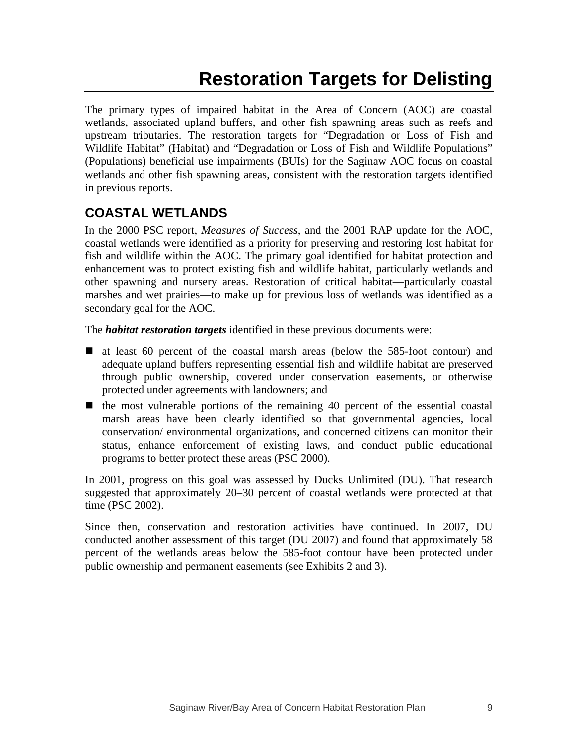# **Restoration Targets for Delisting**

The primary types of impaired habitat in the Area of Concern (AOC) are coastal wetlands, associated upland buffers, and other fish spawning areas such as reefs and upstream tributaries. The restoration targets for "Degradation or Loss of Fish and Wildlife Habitat" (Habitat) and "Degradation or Loss of Fish and Wildlife Populations" (Populations) beneficial use impairments (BUIs) for the Saginaw AOC focus on coastal wetlands and other fish spawning areas, consistent with the restoration targets identified in previous reports.

# **COASTAL WETLANDS**

In the 2000 PSC report, *Measures of Success*, and the 2001 RAP update for the AOC, coastal wetlands were identified as a priority for preserving and restoring lost habitat for fish and wildlife within the AOC. The primary goal identified for habitat protection and enhancement was to protect existing fish and wildlife habitat, particularly wetlands and other spawning and nursery areas. Restoration of critical habitat—particularly coastal marshes and wet prairies—to make up for previous loss of wetlands was identified as a secondary goal for the AOC.

The *habitat restoration targets* identified in these previous documents were:

- at least 60 percent of the coastal marsh areas (below the 585-foot contour) and adequate upland buffers representing essential fish and wildlife habitat are preserved through public ownership, covered under conservation easements, or otherwise protected under agreements with landowners; and
- $\blacksquare$  the most vulnerable portions of the remaining 40 percent of the essential coastal marsh areas have been clearly identified so that governmental agencies, local conservation/ environmental organizations, and concerned citizens can monitor their status, enhance enforcement of existing laws, and conduct public educational programs to better protect these areas (PSC 2000).

In 2001, progress on this goal was assessed by Ducks Unlimited (DU). That research suggested that approximately 20–30 percent of coastal wetlands were protected at that time (PSC 2002).

Since then, conservation and restoration activities have continued. In 2007, DU conducted another assessment of this target (DU 2007) and found that approximately 58 percent of the wetlands areas below the 585-foot contour have been protected under public ownership and permanent easements (see Exhibits 2 and 3).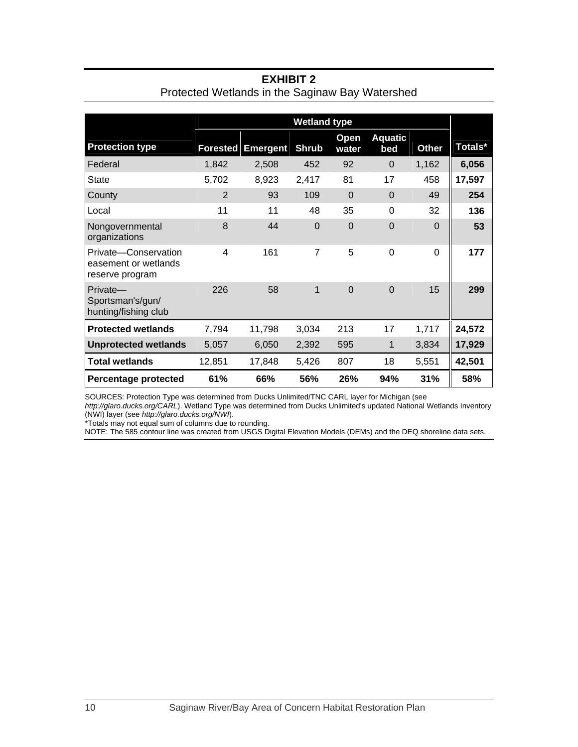|                                                                 | <b>Wetland type</b> |                 |              |                |                       |              |         |
|-----------------------------------------------------------------|---------------------|-----------------|--------------|----------------|-----------------------|--------------|---------|
| <b>Protection type</b>                                          | <b>Forested</b>     | <b>Emergent</b> | <b>Shrub</b> | Open<br>water  | <b>Aquatic</b><br>bed | <b>Other</b> | Totals* |
| Federal                                                         | 1,842               | 2,508           | 452          | 92             | $\mathbf 0$           | 1,162        | 6,056   |
| <b>State</b>                                                    | 5,702               | 8,923           | 2,417        | 81             | 17                    | 458          | 17,597  |
| County                                                          | $\overline{2}$      | 93              | 109          | $\Omega$       | $\Omega$              | 49           |         |
| Local                                                           | 11                  | 11              | 48           | 35             | $\Omega$              | 32           |         |
| Nongovernmental<br>organizations                                | 8                   | 44              | $\Omega$     | $\Omega$       | $\Omega$              | $\Omega$     |         |
| Private-Conservation<br>easement or wetlands<br>reserve program | 4                   | 161             | 7            | 5              | $\Omega$              | $\Omega$     |         |
| Private-<br>Sportsman's/gun/<br>hunting/fishing club            | 226                 | 58              | $\mathbf 1$  | $\overline{0}$ | $\overline{0}$        | 15           |         |
| <b>Protected wetlands</b>                                       | 7,794               | 11,798          | 3,034        | 213            | 17                    | 1,717        | 24,572  |
| <b>Unprotected wetlands</b>                                     | 5,057               | 6,050           | 2,392        | 595            | 1                     | 3,834        | 17,929  |
| <b>Total wetlands</b>                                           | 12,851              | 17,848          | 5,426        | 807            | 18                    | 5,551        | 42,501  |
| <b>Percentage protected</b>                                     | 61%                 | 66%             | 56%          | 26%            | 94%                   | 31%          | 58%     |

## **EXHIBIT 2**  Protected Wetlands in the Saginaw Bay Watershed

SOURCES: Protection Type was determined from Ducks Unlimited/TNC CARL layer for Michigan (see

*http://glaro.ducks.org/CARL*). Wetland Type was determined from Ducks Unlimited's updated National Wetlands Inventory (NWI) layer (see *http://glaro.ducks.org/NWI*).

\*Totals may not equal sum of columns due to rounding.

NOTE: The 585 contour line was created from USGS Digital Elevation Models (DEMs) and the DEQ shoreline data sets.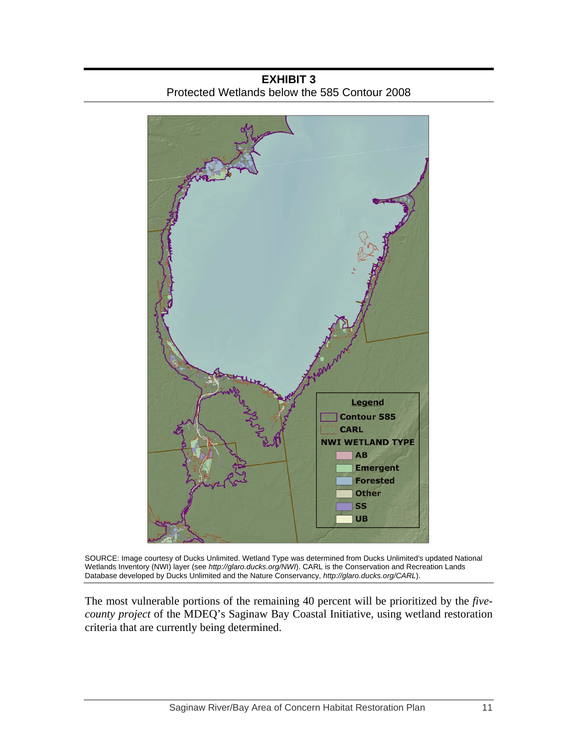

**EXHIBIT 3**  Protected Wetlands below the 585 Contour 2008

SOURCE: Image courtesy of Ducks Unlimited. Wetland Type was determined from Ducks Unlimited's updated National Wetlands Inventory (NWI) layer (see *http://glaro.ducks.org/NWI*). CARL is the Conservation and Recreation Lands Database developed by Ducks Unlimited and the Nature Conservancy, *http://glaro.ducks.org/CARL*).

The most vulnerable portions of the remaining 40 percent will be prioritized by the *fivecounty project* of the MDEQ's Saginaw Bay Coastal Initiative, using wetland restoration criteria that are currently being determined.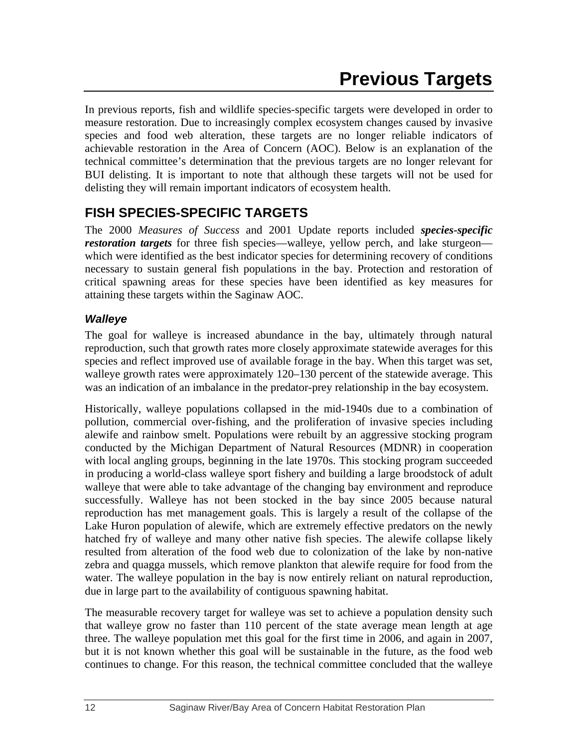In previous reports, fish and wildlife species-specific targets were developed in order to measure restoration. Due to increasingly complex ecosystem changes caused by invasive species and food web alteration, these targets are no longer reliable indicators of achievable restoration in the Area of Concern (AOC). Below is an explanation of the technical committee's determination that the previous targets are no longer relevant for BUI delisting. It is important to note that although these targets will not be used for delisting they will remain important indicators of ecosystem health.

# **FISH SPECIES-SPECIFIC TARGETS**

The 2000 *Measures of Success* and 2001 Update reports included *species-specific restoration targets* for three fish species—walleye, yellow perch, and lake sturgeon which were identified as the best indicator species for determining recovery of conditions necessary to sustain general fish populations in the bay. Protection and restoration of critical spawning areas for these species have been identified as key measures for attaining these targets within the Saginaw AOC.

## *Walleye*

The goal for walleye is increased abundance in the bay, ultimately through natural reproduction, such that growth rates more closely approximate statewide averages for this species and reflect improved use of available forage in the bay. When this target was set, walleye growth rates were approximately 120–130 percent of the statewide average. This was an indication of an imbalance in the predator-prey relationship in the bay ecosystem.

Historically, walleye populations collapsed in the mid-1940s due to a combination of pollution, commercial over-fishing, and the proliferation of invasive species including alewife and rainbow smelt. Populations were rebuilt by an aggressive stocking program conducted by the Michigan Department of Natural Resources (MDNR) in cooperation with local angling groups, beginning in the late 1970s. This stocking program succeeded in producing a world-class walleye sport fishery and building a large broodstock of adult walleye that were able to take advantage of the changing bay environment and reproduce successfully. Walleye has not been stocked in the bay since 2005 because natural reproduction has met management goals. This is largely a result of the collapse of the Lake Huron population of alewife, which are extremely effective predators on the newly hatched fry of walleye and many other native fish species. The alewife collapse likely resulted from alteration of the food web due to colonization of the lake by non-native zebra and quagga mussels, which remove plankton that alewife require for food from the water. The walleye population in the bay is now entirely reliant on natural reproduction, due in large part to the availability of contiguous spawning habitat.

The measurable recovery target for walleye was set to achieve a population density such that walleye grow no faster than 110 percent of the state average mean length at age three. The walleye population met this goal for the first time in 2006, and again in 2007, but it is not known whether this goal will be sustainable in the future, as the food web continues to change. For this reason, the technical committee concluded that the walleye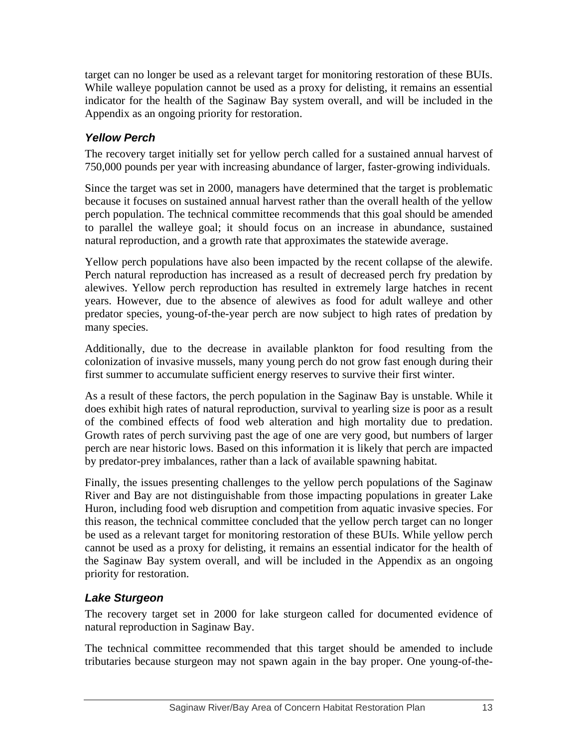target can no longer be used as a relevant target for monitoring restoration of these BUIs. While walleye population cannot be used as a proxy for delisting, it remains an essential indicator for the health of the Saginaw Bay system overall, and will be included in the Appendix as an ongoing priority for restoration.

## *Yellow Perch*

The recovery target initially set for yellow perch called for a sustained annual harvest of 750,000 pounds per year with increasing abundance of larger, faster-growing individuals.

Since the target was set in 2000, managers have determined that the target is problematic because it focuses on sustained annual harvest rather than the overall health of the yellow perch population. The technical committee recommends that this goal should be amended to parallel the walleye goal; it should focus on an increase in abundance, sustained natural reproduction, and a growth rate that approximates the statewide average.

Yellow perch populations have also been impacted by the recent collapse of the alewife. Perch natural reproduction has increased as a result of decreased perch fry predation by alewives. Yellow perch reproduction has resulted in extremely large hatches in recent years. However, due to the absence of alewives as food for adult walleye and other predator species, young-of-the-year perch are now subject to high rates of predation by many species.

Additionally, due to the decrease in available plankton for food resulting from the colonization of invasive mussels, many young perch do not grow fast enough during their first summer to accumulate sufficient energy reserves to survive their first winter.

As a result of these factors, the perch population in the Saginaw Bay is unstable. While it does exhibit high rates of natural reproduction, survival to yearling size is poor as a result of the combined effects of food web alteration and high mortality due to predation. Growth rates of perch surviving past the age of one are very good, but numbers of larger perch are near historic lows. Based on this information it is likely that perch are impacted by predator-prey imbalances, rather than a lack of available spawning habitat.

Finally, the issues presenting challenges to the yellow perch populations of the Saginaw River and Bay are not distinguishable from those impacting populations in greater Lake Huron, including food web disruption and competition from aquatic invasive species. For this reason, the technical committee concluded that the yellow perch target can no longer be used as a relevant target for monitoring restoration of these BUIs. While yellow perch cannot be used as a proxy for delisting, it remains an essential indicator for the health of the Saginaw Bay system overall, and will be included in the Appendix as an ongoing priority for restoration.

## *Lake Sturgeon*

The recovery target set in 2000 for lake sturgeon called for documented evidence of natural reproduction in Saginaw Bay.

The technical committee recommended that this target should be amended to include tributaries because sturgeon may not spawn again in the bay proper. One young-of-the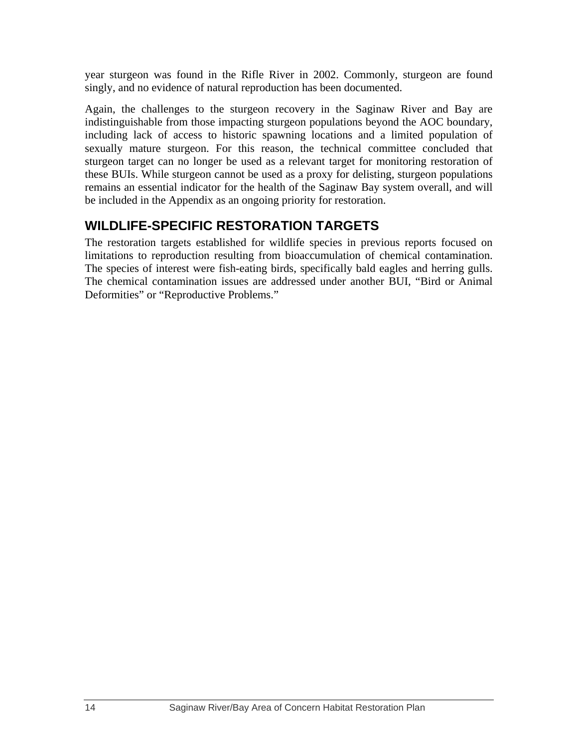year sturgeon was found in the Rifle River in 2002. Commonly, sturgeon are found singly, and no evidence of natural reproduction has been documented.

Again, the challenges to the sturgeon recovery in the Saginaw River and Bay are indistinguishable from those impacting sturgeon populations beyond the AOC boundary, including lack of access to historic spawning locations and a limited population of sexually mature sturgeon. For this reason, the technical committee concluded that sturgeon target can no longer be used as a relevant target for monitoring restoration of these BUIs. While sturgeon cannot be used as a proxy for delisting, sturgeon populations remains an essential indicator for the health of the Saginaw Bay system overall, and will be included in the Appendix as an ongoing priority for restoration.

## **WILDLIFE-SPECIFIC RESTORATION TARGETS**

The restoration targets established for wildlife species in previous reports focused on limitations to reproduction resulting from bioaccumulation of chemical contamination. The species of interest were fish-eating birds, specifically bald eagles and herring gulls. The chemical contamination issues are addressed under another BUI, "Bird or Animal Deformities" or "Reproductive Problems."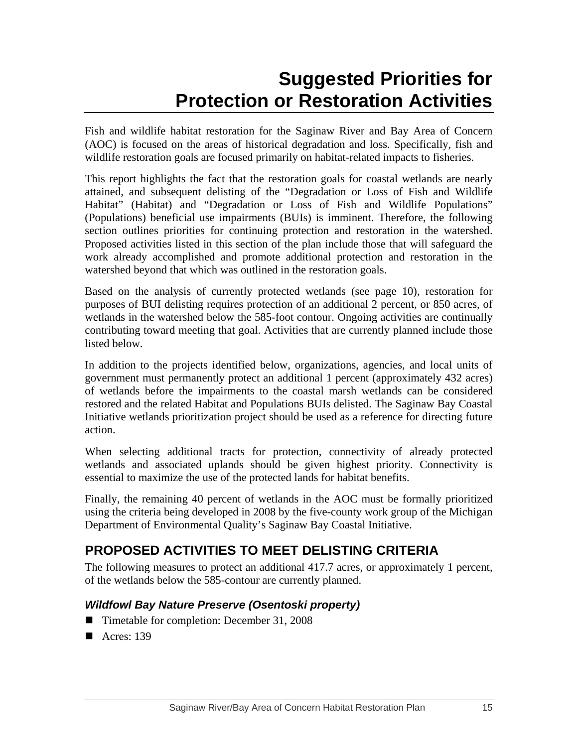# **Suggested Priorities for Protection or Restoration Activities**

Fish and wildlife habitat restoration for the Saginaw River and Bay Area of Concern (AOC) is focused on the areas of historical degradation and loss. Specifically, fish and wildlife restoration goals are focused primarily on habitat-related impacts to fisheries.

This report highlights the fact that the restoration goals for coastal wetlands are nearly attained, and subsequent delisting of the "Degradation or Loss of Fish and Wildlife Habitat" (Habitat) and "Degradation or Loss of Fish and Wildlife Populations" (Populations) beneficial use impairments (BUIs) is imminent. Therefore, the following section outlines priorities for continuing protection and restoration in the watershed. Proposed activities listed in this section of the plan include those that will safeguard the work already accomplished and promote additional protection and restoration in the watershed beyond that which was outlined in the restoration goals.

Based on the analysis of currently protected wetlands (see page 10), restoration for purposes of BUI delisting requires protection of an additional 2 percent, or 850 acres, of wetlands in the watershed below the 585-foot contour. Ongoing activities are continually contributing toward meeting that goal. Activities that are currently planned include those listed below.

In addition to the projects identified below, organizations, agencies, and local units of government must permanently protect an additional 1 percent (approximately 432 acres) of wetlands before the impairments to the coastal marsh wetlands can be considered restored and the related Habitat and Populations BUIs delisted. The Saginaw Bay Coastal Initiative wetlands prioritization project should be used as a reference for directing future action.

When selecting additional tracts for protection, connectivity of already protected wetlands and associated uplands should be given highest priority. Connectivity is essential to maximize the use of the protected lands for habitat benefits.

Finally, the remaining 40 percent of wetlands in the AOC must be formally prioritized using the criteria being developed in 2008 by the five-county work group of the Michigan Department of Environmental Quality's Saginaw Bay Coastal Initiative.

# **PROPOSED ACTIVITIES TO MEET DELISTING CRITERIA**

The following measures to protect an additional 417.7 acres, or approximately 1 percent, of the wetlands below the 585-contour are currently planned.

## *Wildfowl Bay Nature Preserve (Osentoski property)*

- Timetable for completion: December 31, 2008
- Acres: 139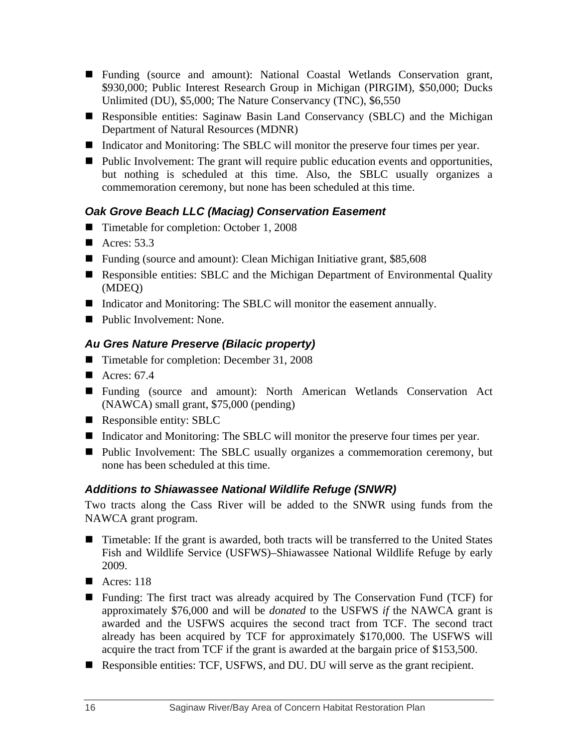- Funding (source and amount): National Coastal Wetlands Conservation grant, \$930,000; Public Interest Research Group in Michigan (PIRGIM), \$50,000; Ducks Unlimited (DU), \$5,000; The Nature Conservancy (TNC), \$6,550
- Responsible entities: Saginaw Basin Land Conservancy (SBLC) and the Michigan Department of Natural Resources (MDNR)
- Indicator and Monitoring: The SBLC will monitor the preserve four times per year.
- $\blacksquare$  Public Involvement: The grant will require public education events and opportunities, but nothing is scheduled at this time. Also, the SBLC usually organizes a commemoration ceremony, but none has been scheduled at this time.

## *Oak Grove Beach LLC (Maciag) Conservation Easement*

- Timetable for completion: October 1, 2008
- Acres:  $53.3$
- Funding (source and amount): Clean Michigan Initiative grant, \$85,608
- Responsible entities: SBLC and the Michigan Department of Environmental Quality (MDEQ)
- Indicator and Monitoring: The SBLC will monitor the easement annually.
- Public Involvement: None.

## *Au Gres Nature Preserve (Bilacic property)*

- Timetable for completion: December 31, 2008
- Acres:  $67.4$
- Funding (source and amount): North American Wetlands Conservation Act (NAWCA) small grant, \$75,000 (pending)
- Responsible entity: SBLC
- Indicator and Monitoring: The SBLC will monitor the preserve four times per year.
- Public Involvement: The SBLC usually organizes a commemoration ceremony, but none has been scheduled at this time.

## *Additions to Shiawassee National Wildlife Refuge (SNWR)*

Two tracts along the Cass River will be added to the SNWR using funds from the NAWCA grant program.

- Timetable: If the grant is awarded, both tracts will be transferred to the United States Fish and Wildlife Service (USFWS)–Shiawassee National Wildlife Refuge by early 2009.
- Acres:  $118$
- Funding: The first tract was already acquired by The Conservation Fund (TCF) for approximately \$76,000 and will be *donated* to the USFWS *if* the NAWCA grant is awarded and the USFWS acquires the second tract from TCF. The second tract already has been acquired by TCF for approximately \$170,000. The USFWS will acquire the tract from TCF if the grant is awarded at the bargain price of \$153,500.
- Responsible entities: TCF, USFWS, and DU. DU will serve as the grant recipient.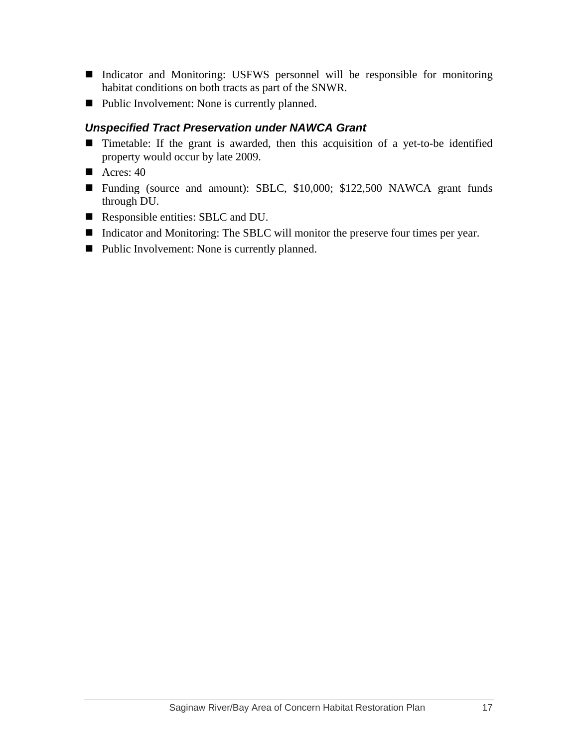- Indicator and Monitoring: USFWS personnel will be responsible for monitoring habitat conditions on both tracts as part of the SNWR.
- Public Involvement: None is currently planned.

## *Unspecified Tract Preservation under NAWCA Grant*

- Timetable: If the grant is awarded, then this acquisition of a yet-to-be identified property would occur by late 2009.
- Acres:  $40$
- Funding (source and amount): SBLC, \$10,000; \$122,500 NAWCA grant funds through DU.
- Responsible entities: SBLC and DU.
- Indicator and Monitoring: The SBLC will monitor the preserve four times per year.
- Public Involvement: None is currently planned.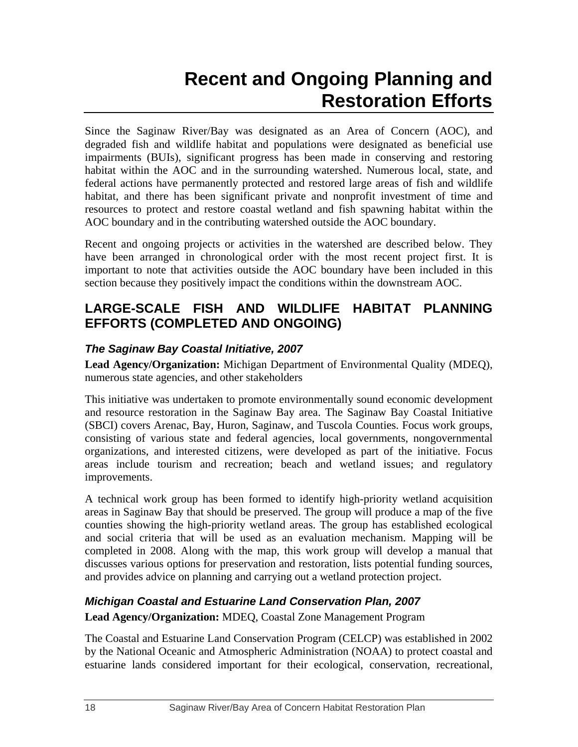# **Recent and Ongoing Planning and Restoration Efforts**

Since the Saginaw River/Bay was designated as an Area of Concern (AOC), and degraded fish and wildlife habitat and populations were designated as beneficial use impairments (BUIs), significant progress has been made in conserving and restoring habitat within the AOC and in the surrounding watershed. Numerous local, state, and federal actions have permanently protected and restored large areas of fish and wildlife habitat, and there has been significant private and nonprofit investment of time and resources to protect and restore coastal wetland and fish spawning habitat within the AOC boundary and in the contributing watershed outside the AOC boundary.

Recent and ongoing projects or activities in the watershed are described below. They have been arranged in chronological order with the most recent project first. It is important to note that activities outside the AOC boundary have been included in this section because they positively impact the conditions within the downstream AOC.

## **LARGE-SCALE FISH AND WILDLIFE HABITAT PLANNING EFFORTS (COMPLETED AND ONGOING)**

## *The Saginaw Bay Coastal Initiative, 2007*

**Lead Agency/Organization:** Michigan Department of Environmental Quality (MDEQ), numerous state agencies, and other stakeholders

This initiative was undertaken to promote environmentally sound economic development and resource restoration in the Saginaw Bay area. The Saginaw Bay Coastal Initiative (SBCI) covers Arenac, Bay, Huron, Saginaw, and Tuscola Counties. Focus work groups, consisting of various state and federal agencies, local governments, nongovernmental organizations, and interested citizens, were developed as part of the initiative. Focus areas include tourism and recreation; beach and wetland issues; and regulatory improvements.

A technical work group has been formed to identify high-priority wetland acquisition areas in Saginaw Bay that should be preserved. The group will produce a map of the five counties showing the high-priority wetland areas. The group has established ecological and social criteria that will be used as an evaluation mechanism. Mapping will be completed in 2008. Along with the map, this work group will develop a manual that discusses various options for preservation and restoration, lists potential funding sources, and provides advice on planning and carrying out a wetland protection project.

## *Michigan Coastal and Estuarine Land Conservation Plan, 2007*

## **Lead Agency/Organization:** MDEQ, Coastal Zone Management Program

The Coastal and Estuarine Land Conservation Program (CELCP) was established in 2002 by the National Oceanic and Atmospheric Administration (NOAA) to protect coastal and estuarine lands considered important for their ecological, conservation, recreational,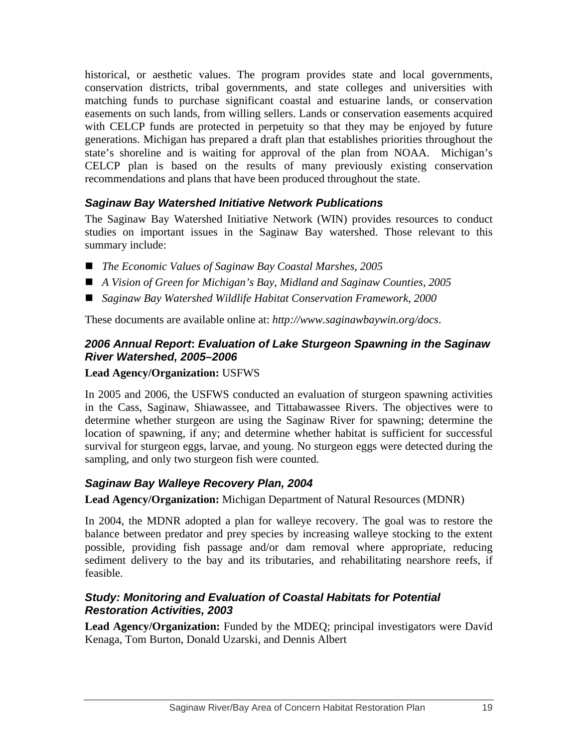historical, or aesthetic values. The program provides state and local governments, conservation districts, tribal governments, and state colleges and universities with matching funds to purchase significant coastal and estuarine lands, or conservation easements on such lands, from willing sellers. Lands or conservation easements acquired with CELCP funds are protected in perpetuity so that they may be enjoyed by future generations. Michigan has prepared a draft plan that establishes priorities throughout the state's shoreline and is waiting for approval of the plan from NOAA. Michigan's CELCP plan is based on the results of many previously existing conservation recommendations and plans that have been produced throughout the state.

## *Saginaw Bay Watershed Initiative Network Publications*

The Saginaw Bay Watershed Initiative Network (WIN) provides resources to conduct studies on important issues in the Saginaw Bay watershed. Those relevant to this summary include:

- *The Economic Values of Saginaw Bay Coastal Marshes, 2005*
- *A Vision of Green for Michigan's Bay, Midland and Saginaw Counties, 2005*
- *Saginaw Bay Watershed Wildlife Habitat Conservation Framework, 2000*

These documents are available online at: *http://www.saginawbaywin.org/docs*.

#### *2006 Annual Report***:** *Evaluation of Lake Sturgeon Spawning in the Saginaw River Watershed, 2005–2006*

#### **Lead Agency/Organization:** USFWS

In 2005 and 2006, the USFWS conducted an evaluation of sturgeon spawning activities in the Cass, Saginaw, Shiawassee, and Tittabawassee Rivers. The objectives were to determine whether sturgeon are using the Saginaw River for spawning; determine the location of spawning, if any; and determine whether habitat is sufficient for successful survival for sturgeon eggs, larvae, and young. No sturgeon eggs were detected during the sampling, and only two sturgeon fish were counted.

#### *Saginaw Bay Walleye Recovery Plan, 2004*

**Lead Agency/Organization:** Michigan Department of Natural Resources (MDNR)

In 2004, the MDNR adopted a plan for walleye recovery. The goal was to restore the balance between predator and prey species by increasing walleye stocking to the extent possible, providing fish passage and/or dam removal where appropriate, reducing sediment delivery to the bay and its tributaries, and rehabilitating nearshore reefs, if feasible.

#### *Study: Monitoring and Evaluation of Coastal Habitats for Potential Restoration Activities, 2003*

**Lead Agency/Organization:** Funded by the MDEQ; principal investigators were David Kenaga, Tom Burton, Donald Uzarski, and Dennis Albert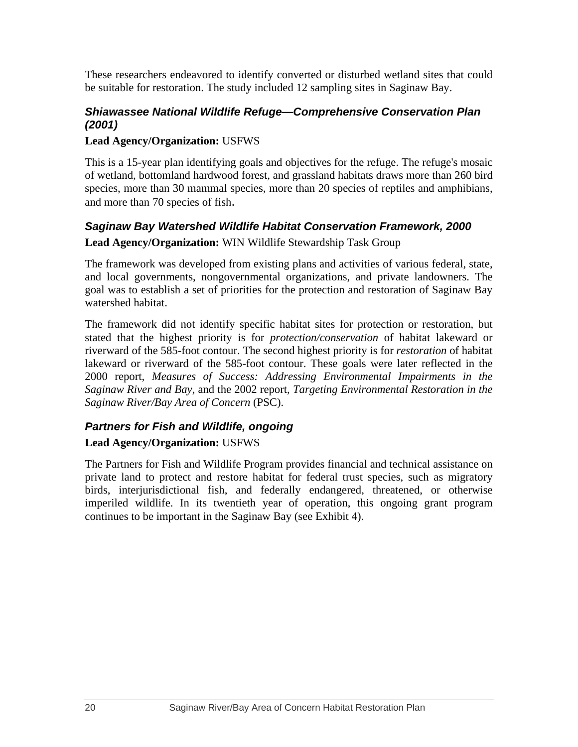These researchers endeavored to identify converted or disturbed wetland sites that could be suitable for restoration. The study included 12 sampling sites in Saginaw Bay.

#### *Shiawassee National Wildlife Refuge—Comprehensive Conservation Plan (2001)*

#### **Lead Agency/Organization:** USFWS

This is a 15-year plan identifying goals and objectives for the refuge. The refuge's mosaic of wetland, bottomland hardwood forest, and grassland habitats draws more than 260 bird species, more than 30 mammal species, more than 20 species of reptiles and amphibians, and more than 70 species of fish.

#### *Saginaw Bay Watershed Wildlife Habitat Conservation Framework, 2000*

#### **Lead Agency/Organization:** WIN Wildlife Stewardship Task Group

The framework was developed from existing plans and activities of various federal, state, and local governments, nongovernmental organizations, and private landowners. The goal was to establish a set of priorities for the protection and restoration of Saginaw Bay watershed habitat.

The framework did not identify specific habitat sites for protection or restoration, but stated that the highest priority is for *protection/conservation* of habitat lakeward or riverward of the 585-foot contour. The second highest priority is for *restoration* of habitat lakeward or riverward of the 585-foot contour. These goals were later reflected in the 2000 report, *Measures of Success: Addressing Environmental Impairments in the Saginaw River and Bay*, and the 2002 report, *Targeting Environmental Restoration in the Saginaw River/Bay Area of Concern* (PSC).

## *Partners for Fish and Wildlife, ongoing*

#### **Lead Agency/Organization:** USFWS

The Partners for Fish and Wildlife Program provides financial and technical assistance on private land to protect and restore habitat for federal trust species, such as migratory birds, interjurisdictional fish, and federally endangered, threatened, or otherwise imperiled wildlife. In its twentieth year of operation, this ongoing grant program continues to be important in the Saginaw Bay (see Exhibit 4).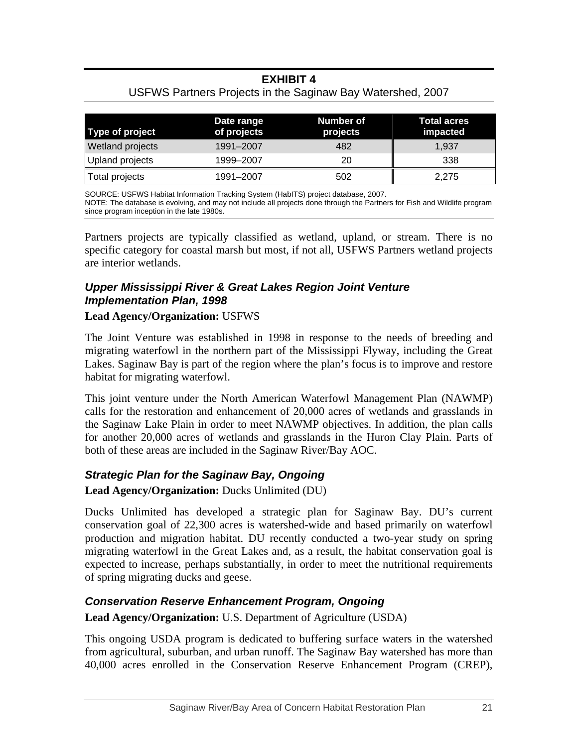## **EXHIBIT 4**

#### USFWS Partners Projects in the Saginaw Bay Watershed, 2007

| Type of project  | Date range<br>of projects | Number of<br>projects | <b>Total acres</b><br>impacted |
|------------------|---------------------------|-----------------------|--------------------------------|
| Wetland projects | 1991–2007                 | 482                   | 1.937                          |
| Upland projects  | 1999-2007                 | 20                    | 338                            |
| Total projects   | 1991-2007                 | 502                   | 2,275                          |

SOURCE: USFWS Habitat Information Tracking System (HabITS) project database, 2007. NOTE: The database is evolving, and may not include all projects done through the Partners for Fish and Wildlife program since program inception in the late 1980s.

Partners projects are typically classified as wetland, upland, or stream. There is no specific category for coastal marsh but most, if not all, USFWS Partners wetland projects are interior wetlands.

### *Upper Mississippi River & Great Lakes Region Joint Venture Implementation Plan, 1998*

#### **Lead Agency/Organization:** USFWS

The Joint Venture was established in 1998 in response to the needs of breeding and migrating waterfowl in the northern part of the Mississippi Flyway, including the Great Lakes. Saginaw Bay is part of the region where the plan's focus is to improve and restore habitat for migrating waterfowl.

This joint venture under the North American Waterfowl Management Plan (NAWMP) calls for the restoration and enhancement of 20,000 acres of wetlands and grasslands in the Saginaw Lake Plain in order to meet NAWMP objectives. In addition, the plan calls for another 20,000 acres of wetlands and grasslands in the Huron Clay Plain. Parts of both of these areas are included in the Saginaw River/Bay AOC.

## *Strategic Plan for the Saginaw Bay, Ongoing*

**Lead Agency/Organization:** Ducks Unlimited (DU)

Ducks Unlimited has developed a strategic plan for Saginaw Bay. DU's current conservation goal of 22,300 acres is watershed-wide and based primarily on waterfowl production and migration habitat. DU recently conducted a two-year study on spring migrating waterfowl in the Great Lakes and, as a result, the habitat conservation goal is expected to increase, perhaps substantially, in order to meet the nutritional requirements of spring migrating ducks and geese.

## *Conservation Reserve Enhancement Program, Ongoing*

**Lead Agency/Organization:** U.S. Department of Agriculture (USDA)

This ongoing USDA program is dedicated to buffering surface waters in the watershed from agricultural, suburban, and urban runoff. The Saginaw Bay watershed has more than 40,000 acres enrolled in the Conservation Reserve Enhancement Program (CREP),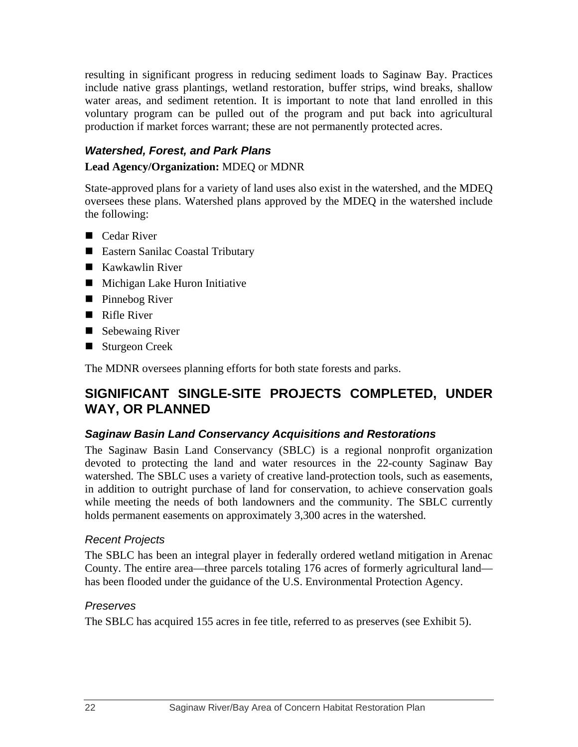resulting in significant progress in reducing sediment loads to Saginaw Bay. Practices include native grass plantings, wetland restoration, buffer strips, wind breaks, shallow water areas, and sediment retention. It is important to note that land enrolled in this voluntary program can be pulled out of the program and put back into agricultural production if market forces warrant; these are not permanently protected acres.

## *Watershed, Forest, and Park Plans*

## **Lead Agency/Organization:** MDEQ or MDNR

State-approved plans for a variety of land uses also exist in the watershed, and the MDEQ oversees these plans. Watershed plans approved by the MDEQ in the watershed include the following:

- Cedar River
- Eastern Sanilac Coastal Tributary
- Kawkawlin River
- $\blacksquare$  Michigan Lake Huron Initiative
- **Pinnebog River**
- Rifle River
- Sebewaing River
- Sturgeon Creek

The MDNR oversees planning efforts for both state forests and parks.

## **SIGNIFICANT SINGLE-SITE PROJECTS COMPLETED, UNDER WAY, OR PLANNED**

## *Saginaw Basin Land Conservancy Acquisitions and Restorations*

The Saginaw Basin Land Conservancy (SBLC) is a regional nonprofit organization devoted to protecting the land and water resources in the 22-county Saginaw Bay watershed. The SBLC uses a variety of creative land-protection tools, such as easements, in addition to outright purchase of land for conservation, to achieve conservation goals while meeting the needs of both landowners and the community. The SBLC currently holds permanent easements on approximately 3,300 acres in the watershed.

## *Recent Projects*

The SBLC has been an integral player in federally ordered wetland mitigation in Arenac County. The entire area—three parcels totaling 176 acres of formerly agricultural land has been flooded under the guidance of the U.S. Environmental Protection Agency.

## *Preserves*

The SBLC has acquired 155 acres in fee title, referred to as preserves (see Exhibit 5).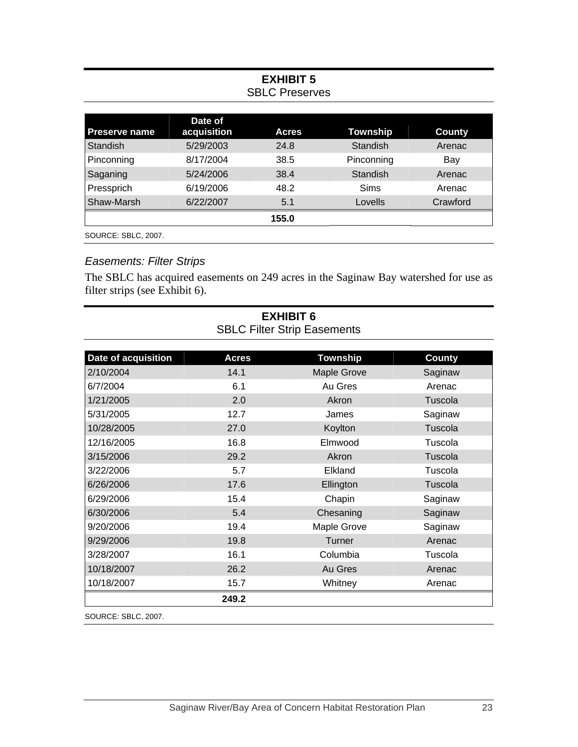## **EXHIBIT 5**  SBLC Preserves

| Date of     |              |                 |               |
|-------------|--------------|-----------------|---------------|
| acquisition | <b>Acres</b> | <b>Township</b> | <b>County</b> |
| 5/29/2003   | 24.8         | Standish        | Arenac        |
| 8/17/2004   | 38.5         | Pinconning      | Bay           |
| 5/24/2006   | 38.4         | Standish        | Arenac        |
| 6/19/2006   | 48.2         | Sims            | Arenac        |
| 6/22/2007   | 5.1          | Lovells         | Crawford      |
|             | 155.0        |                 |               |
|             |              |                 |               |

SOURCE: SBLC, 2007.

## *Easements: Filter Strips*

The SBLC has acquired easements on 249 acres in the Saginaw Bay watershed for use as filter strips (see Exhibit 6).

| Date of acquisition | <b>Acres</b> | <b>Township</b>    | <b>County</b> |
|---------------------|--------------|--------------------|---------------|
| 2/10/2004           | 14.1         | <b>Maple Grove</b> | Saginaw       |
| 6/7/2004            | 6.1          | Au Gres            | Arenac        |
| 1/21/2005           | 2.0          | Akron              | Tuscola       |
| 5/31/2005           | 12.7         | James              | Saginaw       |
| 10/28/2005          | 27.0         | Koylton            | Tuscola       |
| 12/16/2005          | 16.8         | Elmwood            | Tuscola       |
| 3/15/2006           | 29.2         | Akron              | Tuscola       |
| 3/22/2006           | 5.7          | Elkland            | Tuscola       |
| 6/26/2006           | 17.6         | Ellington          | Tuscola       |
| 6/29/2006           | 15.4         | Chapin             | Saginaw       |
| 6/30/2006           | 5.4          | Chesaning          | Saginaw       |
| 9/20/2006           | 19.4         | Maple Grove        | Saginaw       |
| 9/29/2006           | 19.8         | Turner             | Arenac        |
| 3/28/2007           | 16.1         | Columbia           | Tuscola       |
| 10/18/2007          | 26.2         | Au Gres            | Arenac        |
| 10/18/2007          | 15.7         | Whitney            | Arenac        |
|                     | 249.2        |                    |               |

**EXHIBIT 6**  SBLC Filter Strip Easements

SOURCE: SBLC, 2007.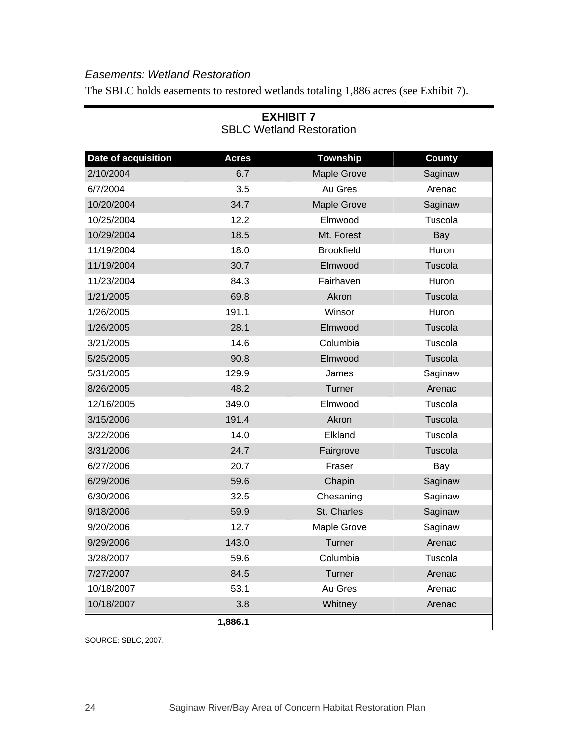## *Easements: Wetland Restoration*

The SBLC holds easements to restored wetlands totaling 1,886 acres (see Exhibit 7).

| Date of acquisition | <b>Acres</b> | <b>Township</b>    | <b>County</b> |
|---------------------|--------------|--------------------|---------------|
| 2/10/2004           | 6.7          | <b>Maple Grove</b> | Saginaw       |
| 6/7/2004            | 3.5          | Au Gres            | Arenac        |
| 10/20/2004          | 34.7         | <b>Maple Grove</b> | Saginaw       |
| 10/25/2004          | 12.2         | Elmwood            | Tuscola       |
| 10/29/2004          | 18.5         | Mt. Forest         | Bay           |
| 11/19/2004          | 18.0         | <b>Brookfield</b>  | Huron         |
| 11/19/2004          | 30.7         | Elmwood            | Tuscola       |
| 11/23/2004          | 84.3         | Fairhaven          | Huron         |
| 1/21/2005           | 69.8         | Akron              | Tuscola       |
| 1/26/2005           | 191.1        | Winsor             | Huron         |
| 1/26/2005           | 28.1         | Elmwood            | Tuscola       |
| 3/21/2005           | 14.6         | Columbia           | Tuscola       |
| 5/25/2005           | 90.8         | Elmwood            | Tuscola       |
| 5/31/2005           | 129.9        | James              | Saginaw       |
| 8/26/2005           | 48.2         | Turner             | Arenac        |
| 12/16/2005          | 349.0        | Elmwood            | Tuscola       |
| 3/15/2006           | 191.4        | Akron              | Tuscola       |
| 3/22/2006           | 14.0         | Elkland            | Tuscola       |
| 3/31/2006           | 24.7         | Fairgrove          | Tuscola       |
| 6/27/2006           | 20.7         | Fraser             | Bay           |
| 6/29/2006           | 59.6         | Chapin             | Saginaw       |
| 6/30/2006           | 32.5         | Chesaning          | Saginaw       |
| 9/18/2006           | 59.9         | St. Charles        | Saginaw       |
| 9/20/2006           | 12.7         | Maple Grove        | Saginaw       |
| 9/29/2006           | 143.0        | Turner             | Arenac        |
| 3/28/2007           | 59.6         | Columbia           | Tuscola       |
| 7/27/2007           | 84.5         | Turner             | Arenac        |
| 10/18/2007          | 53.1         | Au Gres            | Arenac        |
| 10/18/2007          | 3.8          | Whitney            | Arenac        |
|                     | 1,886.1      |                    |               |

#### **EXHIBIT 7**  SBLC Wetland Restoration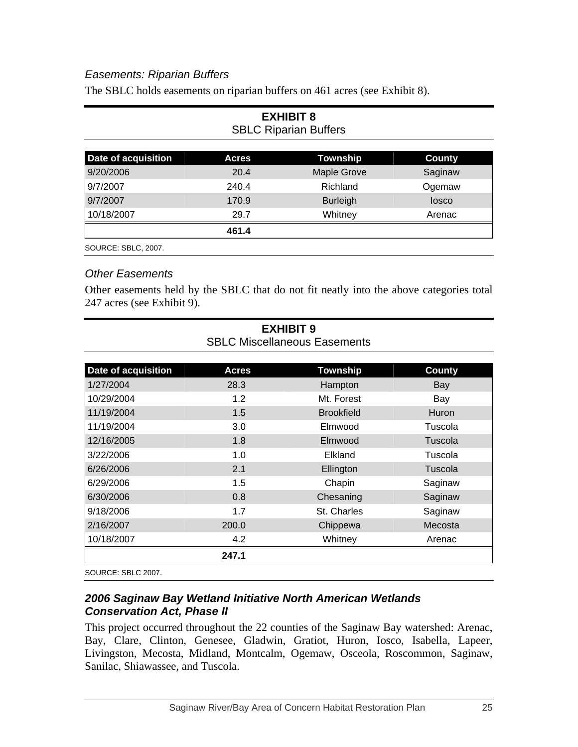### *Easements: Riparian Buffers*

The SBLC holds easements on riparian buffers on 461 acres (see Exhibit 8).

| LAIIILII V<br><b>SBLC Riparian Buffers</b> |              |                    |               |  |  |
|--------------------------------------------|--------------|--------------------|---------------|--|--|
| Date of acquisition                        | <b>Acres</b> | <b>Township</b>    | <b>County</b> |  |  |
| 9/20/2006                                  | 20.4         | <b>Maple Grove</b> | Saginaw       |  |  |
| 9/7/2007                                   | 240.4        | Richland           | Ogemaw        |  |  |
| 9/7/2007                                   | 170.9        | <b>Burleigh</b>    | losco         |  |  |
| 10/18/2007                                 | 29.7         | Whitney            | Arenac        |  |  |
|                                            | 461.4        |                    |               |  |  |
| SOURCE: SBLC, 2007.                        |              |                    |               |  |  |

# **EXHIBIT 8**

#### *Other Easements*

Other easements held by the SBLC that do not fit neatly into the above categories total 247 acres (see Exhibit 9).

| Date of acquisition | <b>Acres</b> | <b>Township</b>   | <b>County</b> |
|---------------------|--------------|-------------------|---------------|
| 1/27/2004           | 28.3         | Hampton           | Bay           |
| 10/29/2004          | 1.2          | Mt. Forest        | Bay           |
| 11/19/2004          | 1.5          | <b>Brookfield</b> | <b>Huron</b>  |
| 11/19/2004          | 3.0          | Elmwood           | Tuscola       |
| 12/16/2005          | 1.8          | Elmwood           | Tuscola       |
| 3/22/2006           | 1.0          | Elkland           | Tuscola       |
| 6/26/2006           | 2.1          | Ellington         | Tuscola       |
| 6/29/2006           | 1.5          | Chapin            | Saginaw       |
| 6/30/2006           | 0.8          | Chesaning         | Saginaw       |
| 9/18/2006           | 1.7          | St. Charles       | Saginaw       |
| 2/16/2007           | 200.0        | Chippewa          | Mecosta       |
| 10/18/2007          | 4.2          | Whitney           | Arenac        |
|                     | 247.1        |                   |               |
|                     |              |                   |               |

### **EXHIBIT 9**  SBLC Miscellaneous Easements

SOURCE: SBLC 2007.

#### *2006 Saginaw Bay Wetland Initiative North American Wetlands Conservation Act, Phase II*

This project occurred throughout the 22 counties of the Saginaw Bay watershed: Arenac, Bay, Clare, Clinton, Genesee, Gladwin, Gratiot, Huron, Iosco, Isabella, Lapeer, Livingston, Mecosta, Midland, Montcalm, Ogemaw, Osceola, Roscommon, Saginaw, Sanilac, Shiawassee, and Tuscola.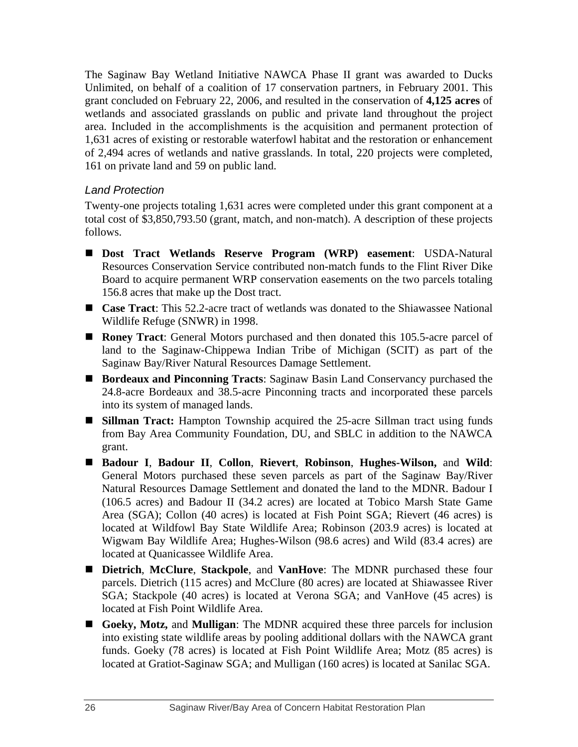The Saginaw Bay Wetland Initiative NAWCA Phase II grant was awarded to Ducks Unlimited, on behalf of a coalition of 17 conservation partners, in February 2001. This grant concluded on February 22, 2006, and resulted in the conservation of **4,125 acres** of wetlands and associated grasslands on public and private land throughout the project area. Included in the accomplishments is the acquisition and permanent protection of 1,631 acres of existing or restorable waterfowl habitat and the restoration or enhancement of 2,494 acres of wetlands and native grasslands. In total, 220 projects were completed, 161 on private land and 59 on public land.

#### *Land Protection*

Twenty-one projects totaling 1,631 acres were completed under this grant component at a total cost of \$3,850,793.50 (grant, match, and non-match). A description of these projects follows.

- **Dost Tract Wetlands Reserve Program (WRP) easement**: USDA-Natural Resources Conservation Service contributed non-match funds to the Flint River Dike Board to acquire permanent WRP conservation easements on the two parcels totaling 156.8 acres that make up the Dost tract.
- **Case Tract**: This 52.2-acre tract of wetlands was donated to the Shiawassee National Wildlife Refuge (SNWR) in 1998.
- **Roney Tract**: General Motors purchased and then donated this 105.5-acre parcel of land to the Saginaw-Chippewa Indian Tribe of Michigan (SCIT) as part of the Saginaw Bay/River Natural Resources Damage Settlement.
- **Bordeaux and Pinconning Tracts**: Saginaw Basin Land Conservancy purchased the 24.8-acre Bordeaux and 38.5-acre Pinconning tracts and incorporated these parcels into its system of managed lands.
- **Sillman Tract:** Hampton Township acquired the 25-acre Sillman tract using funds from Bay Area Community Foundation, DU, and SBLC in addition to the NAWCA grant.
- **Badour I**, **Badour II**, **Collon**, **Rievert**, **Robinson**, **Hughes-Wilson,** and **Wild**: General Motors purchased these seven parcels as part of the Saginaw Bay/River Natural Resources Damage Settlement and donated the land to the MDNR. Badour I (106.5 acres) and Badour II (34.2 acres) are located at Tobico Marsh State Game Area (SGA); Collon (40 acres) is located at Fish Point SGA; Rievert (46 acres) is located at Wildfowl Bay State Wildlife Area; Robinson (203.9 acres) is located at Wigwam Bay Wildlife Area; Hughes-Wilson (98.6 acres) and Wild (83.4 acres) are located at Quanicassee Wildlife Area.
- **Dietrich**, **McClure**, **Stackpole**, and **VanHove**: The MDNR purchased these four parcels. Dietrich (115 acres) and McClure (80 acres) are located at Shiawassee River SGA; Stackpole (40 acres) is located at Verona SGA; and VanHove (45 acres) is located at Fish Point Wildlife Area.
- **Goeky, Motz,** and **Mulligan**: The MDNR acquired these three parcels for inclusion into existing state wildlife areas by pooling additional dollars with the NAWCA grant funds. Goeky (78 acres) is located at Fish Point Wildlife Area; Motz (85 acres) is located at Gratiot-Saginaw SGA; and Mulligan (160 acres) is located at Sanilac SGA.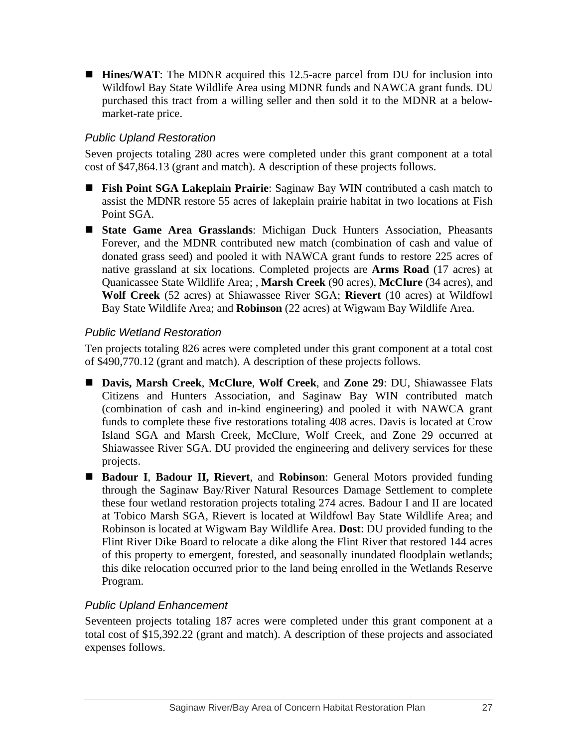**Hines/WAT:** The MDNR acquired this 12.5-acre parcel from DU for inclusion into Wildfowl Bay State Wildlife Area using MDNR funds and NAWCA grant funds. DU purchased this tract from a willing seller and then sold it to the MDNR at a belowmarket-rate price.

## *Public Upland Restoration*

Seven projects totaling 280 acres were completed under this grant component at a total cost of \$47,864.13 (grant and match). A description of these projects follows.

- **Fish Point SGA Lakeplain Prairie**: Saginaw Bay WIN contributed a cash match to assist the MDNR restore 55 acres of lakeplain prairie habitat in two locations at Fish Point SGA.
- **State Game Area Grasslands**: Michigan Duck Hunters Association, Pheasants Forever, and the MDNR contributed new match (combination of cash and value of donated grass seed) and pooled it with NAWCA grant funds to restore 225 acres of native grassland at six locations. Completed projects are **Arms Road** (17 acres) at Quanicassee State Wildlife Area; , **Marsh Creek** (90 acres), **McClure** (34 acres), and **Wolf Creek** (52 acres) at Shiawassee River SGA; **Rievert** (10 acres) at Wildfowl Bay State Wildlife Area; and **Robinson** (22 acres) at Wigwam Bay Wildlife Area.

## *Public Wetland Restoration*

Ten projects totaling 826 acres were completed under this grant component at a total cost of \$490,770.12 (grant and match). A description of these projects follows.

- **Davis, Marsh Creek**, **McClure**, **Wolf Creek**, and **Zone 29**: DU, Shiawassee Flats Citizens and Hunters Association, and Saginaw Bay WIN contributed match (combination of cash and in-kind engineering) and pooled it with NAWCA grant funds to complete these five restorations totaling 408 acres. Davis is located at Crow Island SGA and Marsh Creek, McClure, Wolf Creek, and Zone 29 occurred at Shiawassee River SGA. DU provided the engineering and delivery services for these projects.
- **Badour I**, **Badour II, Rievert**, and **Robinson**: General Motors provided funding through the Saginaw Bay/River Natural Resources Damage Settlement to complete these four wetland restoration projects totaling 274 acres. Badour I and II are located at Tobico Marsh SGA, Rievert is located at Wildfowl Bay State Wildlife Area; and Robinson is located at Wigwam Bay Wildlife Area. **Dost**: DU provided funding to the Flint River Dike Board to relocate a dike along the Flint River that restored 144 acres of this property to emergent, forested, and seasonally inundated floodplain wetlands; this dike relocation occurred prior to the land being enrolled in the Wetlands Reserve Program.

## *Public Upland Enhancement*

Seventeen projects totaling 187 acres were completed under this grant component at a total cost of \$15,392.22 (grant and match). A description of these projects and associated expenses follows.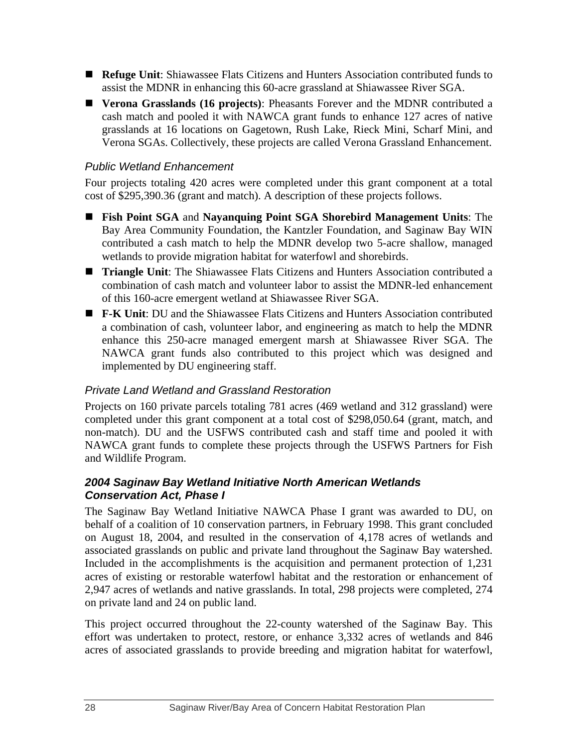- **Refuge Unit**: Shiawassee Flats Citizens and Hunters Association contributed funds to assist the MDNR in enhancing this 60-acre grassland at Shiawassee River SGA.
- **Verona Grasslands (16 projects)**: Pheasants Forever and the MDNR contributed a cash match and pooled it with NAWCA grant funds to enhance 127 acres of native grasslands at 16 locations on Gagetown, Rush Lake, Rieck Mini, Scharf Mini, and Verona SGAs. Collectively, these projects are called Verona Grassland Enhancement.

#### *Public Wetland Enhancement*

Four projects totaling 420 acres were completed under this grant component at a total cost of \$295,390.36 (grant and match). A description of these projects follows.

- **Fish Point SGA** and **Nayanquing Point SGA Shorebird Management Units**: The Bay Area Community Foundation, the Kantzler Foundation, and Saginaw Bay WIN contributed a cash match to help the MDNR develop two 5-acre shallow, managed wetlands to provide migration habitat for waterfowl and shorebirds.
- **Triangle Unit**: The Shiawassee Flats Citizens and Hunters Association contributed a combination of cash match and volunteer labor to assist the MDNR-led enhancement of this 160-acre emergent wetland at Shiawassee River SGA.
- **F-K Unit**: DU and the Shiawassee Flats Citizens and Hunters Association contributed a combination of cash, volunteer labor, and engineering as match to help the MDNR enhance this 250-acre managed emergent marsh at Shiawassee River SGA. The NAWCA grant funds also contributed to this project which was designed and implemented by DU engineering staff.

#### *Private Land Wetland and Grassland Restoration*

Projects on 160 private parcels totaling 781 acres (469 wetland and 312 grassland) were completed under this grant component at a total cost of \$298,050.64 (grant, match, and non-match). DU and the USFWS contributed cash and staff time and pooled it with NAWCA grant funds to complete these projects through the USFWS Partners for Fish and Wildlife Program.

#### *2004 Saginaw Bay Wetland Initiative North American Wetlands Conservation Act, Phase I*

The Saginaw Bay Wetland Initiative NAWCA Phase I grant was awarded to DU, on behalf of a coalition of 10 conservation partners, in February 1998. This grant concluded on August 18, 2004, and resulted in the conservation of 4,178 acres of wetlands and associated grasslands on public and private land throughout the Saginaw Bay watershed. Included in the accomplishments is the acquisition and permanent protection of 1,231 acres of existing or restorable waterfowl habitat and the restoration or enhancement of 2,947 acres of wetlands and native grasslands. In total, 298 projects were completed, 274 on private land and 24 on public land.

This project occurred throughout the 22-county watershed of the Saginaw Bay. This effort was undertaken to protect, restore, or enhance 3,332 acres of wetlands and 846 acres of associated grasslands to provide breeding and migration habitat for waterfowl,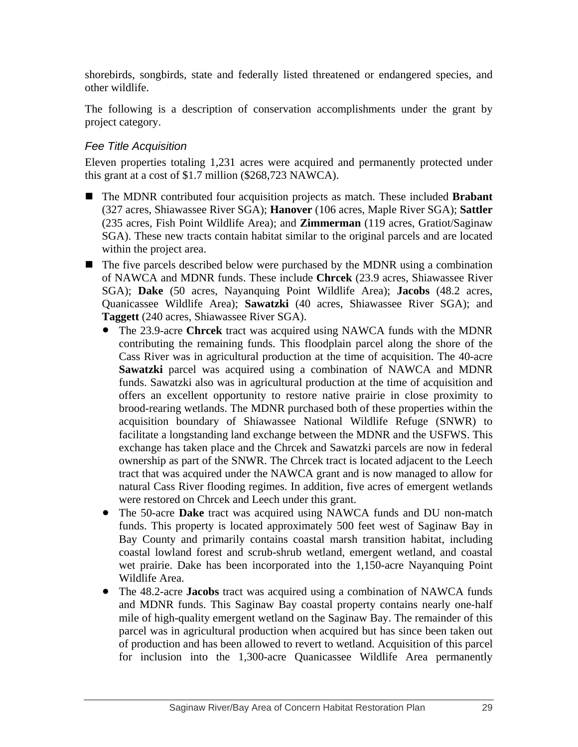shorebirds, songbirds, state and federally listed threatened or endangered species, and other wildlife.

The following is a description of conservation accomplishments under the grant by project category.

### *Fee Title Acquisition*

Eleven properties totaling 1,231 acres were acquired and permanently protected under this grant at a cost of \$1.7 million (\$268,723 NAWCA).

- The MDNR contributed four acquisition projects as match. These included **Brabant** (327 acres, Shiawassee River SGA); **Hanover** (106 acres, Maple River SGA); **Sattler** (235 acres, Fish Point Wildlife Area); and **Zimmerman** (119 acres, Gratiot/Saginaw SGA). These new tracts contain habitat similar to the original parcels and are located within the project area.
- $\blacksquare$  The five parcels described below were purchased by the MDNR using a combination of NAWCA and MDNR funds. These include **Chrcek** (23.9 acres, Shiawassee River SGA); **Dake** (50 acres, Nayanquing Point Wildlife Area); **Jacobs** (48.2 acres, Quanicassee Wildlife Area); **Sawatzki** (40 acres, Shiawassee River SGA); and **Taggett** (240 acres, Shiawassee River SGA).
	- The 23.9-acre **Chrcek** tract was acquired using NAWCA funds with the MDNR contributing the remaining funds. This floodplain parcel along the shore of the Cass River was in agricultural production at the time of acquisition. The 40-acre **Sawatzki** parcel was acquired using a combination of NAWCA and MDNR funds. Sawatzki also was in agricultural production at the time of acquisition and offers an excellent opportunity to restore native prairie in close proximity to brood-rearing wetlands. The MDNR purchased both of these properties within the acquisition boundary of Shiawassee National Wildlife Refuge (SNWR) to facilitate a longstanding land exchange between the MDNR and the USFWS. This exchange has taken place and the Chrcek and Sawatzki parcels are now in federal ownership as part of the SNWR. The Chrcek tract is located adjacent to the Leech tract that was acquired under the NAWCA grant and is now managed to allow for natural Cass River flooding regimes. In addition, five acres of emergent wetlands were restored on Chrcek and Leech under this grant.
	- The 50-acre **Dake** tract was acquired using NAWCA funds and DU non-match funds. This property is located approximately 500 feet west of Saginaw Bay in Bay County and primarily contains coastal marsh transition habitat, including coastal lowland forest and scrub-shrub wetland, emergent wetland, and coastal wet prairie. Dake has been incorporated into the 1,150-acre Nayanquing Point Wildlife Area.
	- The 48.2-acre **Jacobs** tract was acquired using a combination of NAWCA funds and MDNR funds. This Saginaw Bay coastal property contains nearly one-half mile of high-quality emergent wetland on the Saginaw Bay. The remainder of this parcel was in agricultural production when acquired but has since been taken out of production and has been allowed to revert to wetland. Acquisition of this parcel for inclusion into the 1,300-acre Quanicassee Wildlife Area permanently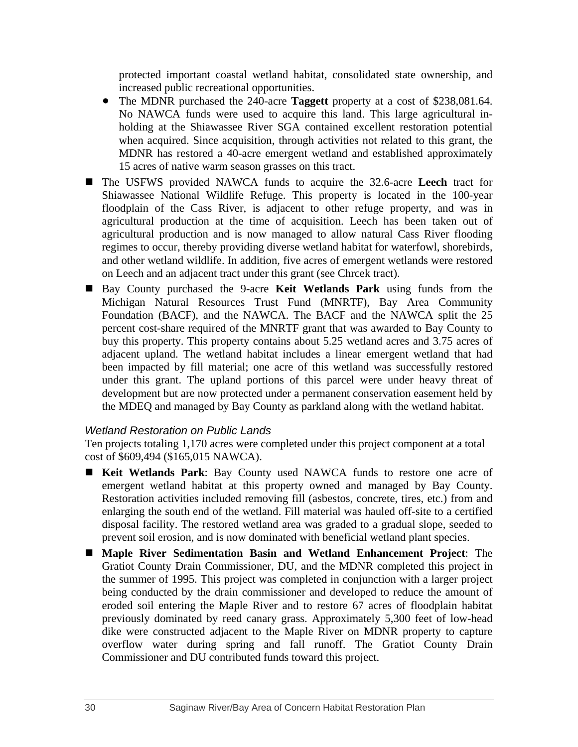protected important coastal wetland habitat, consolidated state ownership, and increased public recreational opportunities.

- The MDNR purchased the 240-acre **Taggett** property at a cost of \$238,081.64. No NAWCA funds were used to acquire this land. This large agricultural inholding at the Shiawassee River SGA contained excellent restoration potential when acquired. Since acquisition, through activities not related to this grant, the MDNR has restored a 40-acre emergent wetland and established approximately 15 acres of native warm season grasses on this tract.
- The USFWS provided NAWCA funds to acquire the 32.6-acre **Leech** tract for Shiawassee National Wildlife Refuge. This property is located in the 100-year floodplain of the Cass River, is adjacent to other refuge property, and was in agricultural production at the time of acquisition. Leech has been taken out of agricultural production and is now managed to allow natural Cass River flooding regimes to occur, thereby providing diverse wetland habitat for waterfowl, shorebirds, and other wetland wildlife. In addition, five acres of emergent wetlands were restored on Leech and an adjacent tract under this grant (see Chrcek tract).
- Bay County purchased the 9-acre **Keit Wetlands Park** using funds from the Michigan Natural Resources Trust Fund (MNRTF), Bay Area Community Foundation (BACF), and the NAWCA. The BACF and the NAWCA split the 25 percent cost-share required of the MNRTF grant that was awarded to Bay County to buy this property. This property contains about 5.25 wetland acres and 3.75 acres of adjacent upland. The wetland habitat includes a linear emergent wetland that had been impacted by fill material; one acre of this wetland was successfully restored under this grant. The upland portions of this parcel were under heavy threat of development but are now protected under a permanent conservation easement held by the MDEQ and managed by Bay County as parkland along with the wetland habitat.

#### *Wetland Restoration on Public Lands*

Ten projects totaling 1,170 acres were completed under this project component at a total cost of \$609,494 (\$165,015 NAWCA).

- **Keit Wetlands Park**: Bay County used NAWCA funds to restore one acre of emergent wetland habitat at this property owned and managed by Bay County. Restoration activities included removing fill (asbestos, concrete, tires, etc.) from and enlarging the south end of the wetland. Fill material was hauled off-site to a certified disposal facility. The restored wetland area was graded to a gradual slope, seeded to prevent soil erosion, and is now dominated with beneficial wetland plant species.
- **Maple River Sedimentation Basin and Wetland Enhancement Project**: The Gratiot County Drain Commissioner, DU, and the MDNR completed this project in the summer of 1995. This project was completed in conjunction with a larger project being conducted by the drain commissioner and developed to reduce the amount of eroded soil entering the Maple River and to restore 67 acres of floodplain habitat previously dominated by reed canary grass. Approximately 5,300 feet of low-head dike were constructed adjacent to the Maple River on MDNR property to capture overflow water during spring and fall runoff. The Gratiot County Drain Commissioner and DU contributed funds toward this project.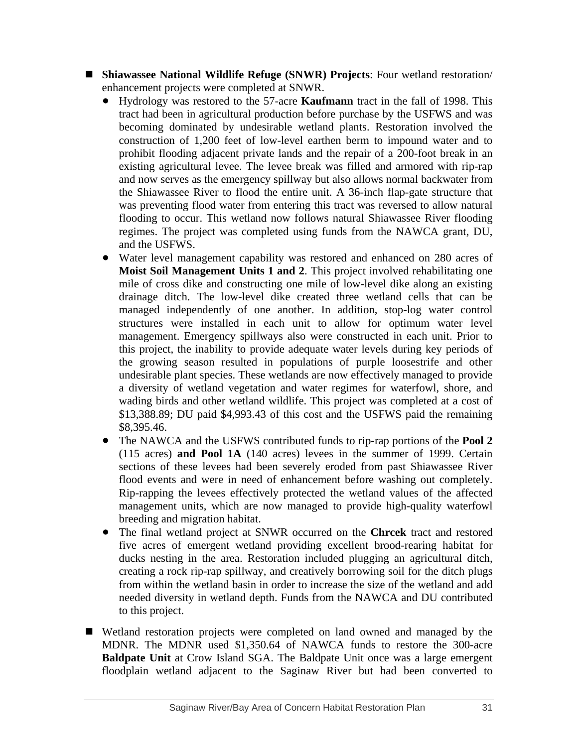- **Shiawassee National Wildlife Refuge (SNWR) Projects**: Four wetland restoration/ enhancement projects were completed at SNWR.
	- Hydrology was restored to the 57-acre **Kaufmann** tract in the fall of 1998. This tract had been in agricultural production before purchase by the USFWS and was becoming dominated by undesirable wetland plants. Restoration involved the construction of 1,200 feet of low-level earthen berm to impound water and to prohibit flooding adjacent private lands and the repair of a 200-foot break in an existing agricultural levee. The levee break was filled and armored with rip-rap and now serves as the emergency spillway but also allows normal backwater from the Shiawassee River to flood the entire unit. A 36-inch flap-gate structure that was preventing flood water from entering this tract was reversed to allow natural flooding to occur. This wetland now follows natural Shiawassee River flooding regimes. The project was completed using funds from the NAWCA grant, DU, and the USFWS.
	- Water level management capability was restored and enhanced on 280 acres of **Moist Soil Management Units 1 and 2**. This project involved rehabilitating one mile of cross dike and constructing one mile of low-level dike along an existing drainage ditch. The low-level dike created three wetland cells that can be managed independently of one another. In addition, stop-log water control structures were installed in each unit to allow for optimum water level management. Emergency spillways also were constructed in each unit. Prior to this project, the inability to provide adequate water levels during key periods of the growing season resulted in populations of purple loosestrife and other undesirable plant species. These wetlands are now effectively managed to provide a diversity of wetland vegetation and water regimes for waterfowl, shore, and wading birds and other wetland wildlife. This project was completed at a cost of \$13,388.89; DU paid \$4,993.43 of this cost and the USFWS paid the remaining \$8,395.46.
	- The NAWCA and the USFWS contributed funds to rip-rap portions of the **Pool 2** (115 acres) **and Pool 1A** (140 acres) levees in the summer of 1999. Certain sections of these levees had been severely eroded from past Shiawassee River flood events and were in need of enhancement before washing out completely. Rip-rapping the levees effectively protected the wetland values of the affected management units, which are now managed to provide high-quality waterfowl breeding and migration habitat.
	- The final wetland project at SNWR occurred on the **Chrcek** tract and restored five acres of emergent wetland providing excellent brood-rearing habitat for ducks nesting in the area. Restoration included plugging an agricultural ditch, creating a rock rip-rap spillway, and creatively borrowing soil for the ditch plugs from within the wetland basin in order to increase the size of the wetland and add needed diversity in wetland depth. Funds from the NAWCA and DU contributed to this project.
- Wetland restoration projects were completed on land owned and managed by the MDNR. The MDNR used \$1,350.64 of NAWCA funds to restore the 300-acre **Baldpate Unit** at Crow Island SGA. The Baldpate Unit once was a large emergent floodplain wetland adjacent to the Saginaw River but had been converted to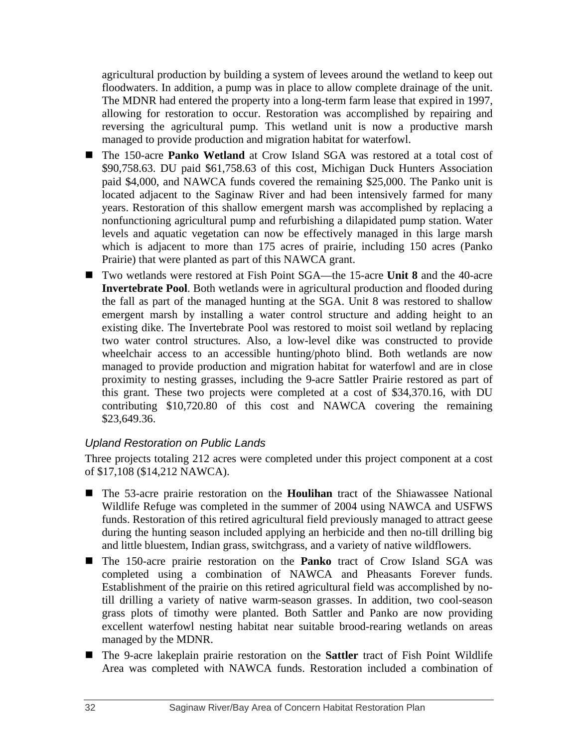agricultural production by building a system of levees around the wetland to keep out floodwaters. In addition, a pump was in place to allow complete drainage of the unit. The MDNR had entered the property into a long-term farm lease that expired in 1997, allowing for restoration to occur. Restoration was accomplished by repairing and reversing the agricultural pump. This wetland unit is now a productive marsh managed to provide production and migration habitat for waterfowl.

- The 150-acre **Panko Wetland** at Crow Island SGA was restored at a total cost of \$90,758.63. DU paid \$61,758.63 of this cost, Michigan Duck Hunters Association paid \$4,000, and NAWCA funds covered the remaining \$25,000. The Panko unit is located adjacent to the Saginaw River and had been intensively farmed for many years. Restoration of this shallow emergent marsh was accomplished by replacing a nonfunctioning agricultural pump and refurbishing a dilapidated pump station. Water levels and aquatic vegetation can now be effectively managed in this large marsh which is adjacent to more than 175 acres of prairie, including 150 acres (Panko Prairie) that were planted as part of this NAWCA grant.
- Two wetlands were restored at Fish Point SGA—the 15-acre **Unit 8** and the 40-acre **Invertebrate Pool**. Both wetlands were in agricultural production and flooded during the fall as part of the managed hunting at the SGA. Unit 8 was restored to shallow emergent marsh by installing a water control structure and adding height to an existing dike. The Invertebrate Pool was restored to moist soil wetland by replacing two water control structures. Also, a low-level dike was constructed to provide wheelchair access to an accessible hunting/photo blind. Both wetlands are now managed to provide production and migration habitat for waterfowl and are in close proximity to nesting grasses, including the 9-acre Sattler Prairie restored as part of this grant. These two projects were completed at a cost of \$34,370.16, with DU contributing \$10,720.80 of this cost and NAWCA covering the remaining \$23,649.36.

## *Upland Restoration on Public Lands*

Three projects totaling 212 acres were completed under this project component at a cost of \$17,108 (\$14,212 NAWCA).

- The 53-acre prairie restoration on the **Houlihan** tract of the Shiawassee National Wildlife Refuge was completed in the summer of 2004 using NAWCA and USFWS funds. Restoration of this retired agricultural field previously managed to attract geese during the hunting season included applying an herbicide and then no-till drilling big and little bluestem, Indian grass, switchgrass, and a variety of native wildflowers.
- The 150-acre prairie restoration on the **Panko** tract of Crow Island SGA was completed using a combination of NAWCA and Pheasants Forever funds. Establishment of the prairie on this retired agricultural field was accomplished by notill drilling a variety of native warm-season grasses. In addition, two cool-season grass plots of timothy were planted. Both Sattler and Panko are now providing excellent waterfowl nesting habitat near suitable brood-rearing wetlands on areas managed by the MDNR.
- The 9-acre lakeplain prairie restoration on the **Sattler** tract of Fish Point Wildlife Area was completed with NAWCA funds. Restoration included a combination of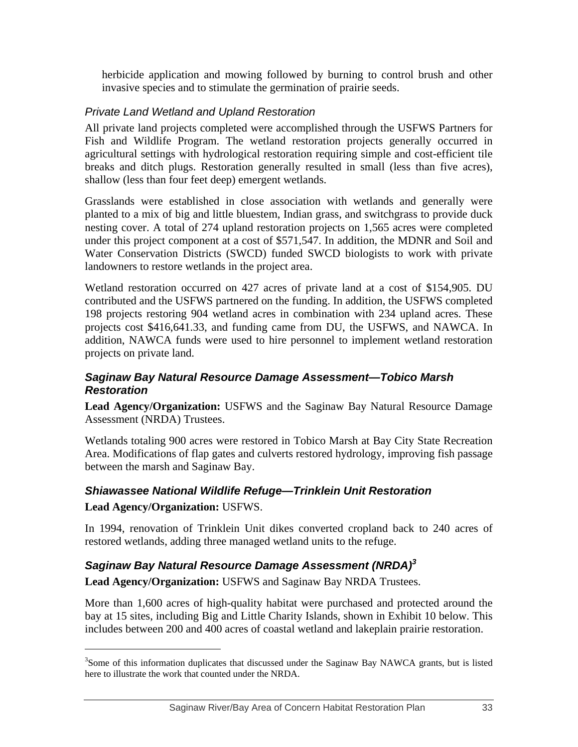herbicide application and mowing followed by burning to control brush and other invasive species and to stimulate the germination of prairie seeds.

## *Private Land Wetland and Upland Restoration*

All private land projects completed were accomplished through the USFWS Partners for Fish and Wildlife Program. The wetland restoration projects generally occurred in agricultural settings with hydrological restoration requiring simple and cost-efficient tile breaks and ditch plugs. Restoration generally resulted in small (less than five acres), shallow (less than four feet deep) emergent wetlands.

Grasslands were established in close association with wetlands and generally were planted to a mix of big and little bluestem, Indian grass, and switchgrass to provide duck nesting cover. A total of 274 upland restoration projects on 1,565 acres were completed under this project component at a cost of \$571,547. In addition, the MDNR and Soil and Water Conservation Districts (SWCD) funded SWCD biologists to work with private landowners to restore wetlands in the project area.

Wetland restoration occurred on 427 acres of private land at a cost of \$154,905. DU contributed and the USFWS partnered on the funding. In addition, the USFWS completed 198 projects restoring 904 wetland acres in combination with 234 upland acres. These projects cost \$416,641.33, and funding came from DU, the USFWS, and NAWCA. In addition, NAWCA funds were used to hire personnel to implement wetland restoration projects on private land.

#### *Saginaw Bay Natural Resource Damage Assessment—Tobico Marsh Restoration*

**Lead Agency/Organization:** USFWS and the Saginaw Bay Natural Resource Damage Assessment (NRDA) Trustees.

Wetlands totaling 900 acres were restored in Tobico Marsh at Bay City State Recreation Area. Modifications of flap gates and culverts restored hydrology, improving fish passage between the marsh and Saginaw Bay.

## *Shiawassee National Wildlife Refuge—Trinklein Unit Restoration*  **Lead Agency/Organization:** USFWS.

In 1994, renovation of Trinklein Unit dikes converted cropland back to 240 acres of restored wetlands, adding three managed wetland units to the refuge.

## *Saginaw Bay Natural Resource Damage Assessment (NRDA)3*

**Lead Agency/Organization:** USFWS and Saginaw Bay NRDA Trustees.

 $\overline{a}$ 

More than 1,600 acres of high-quality habitat were purchased and protected around the bay at 15 sites, including Big and Little Charity Islands, shown in Exhibit 10 below. This includes between 200 and 400 acres of coastal wetland and lakeplain prairie restoration.

<sup>&</sup>lt;sup>3</sup>Some of this information duplicates that discussed under the Saginaw Bay NAWCA grants, but is listed here to illustrate the work that counted under the NRDA.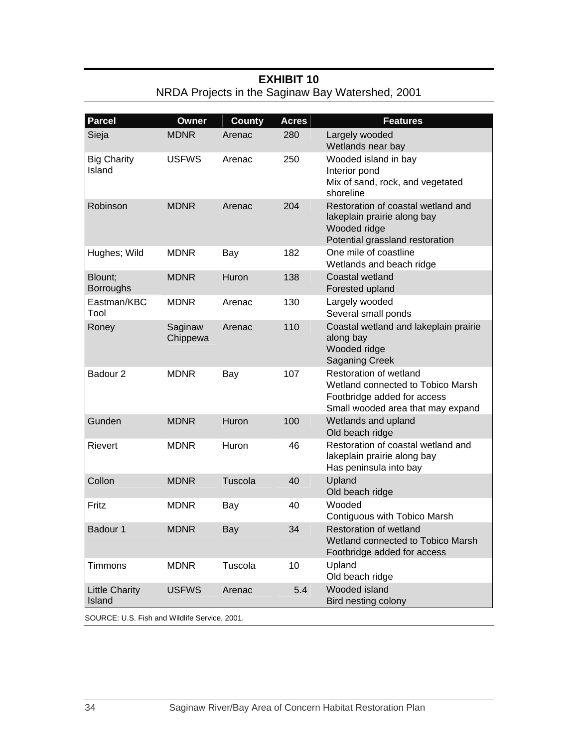| <b>Parcel</b>                   | <b>Owner</b>        | <b>County</b> | <b>Acres</b> | <b>Features</b>                                                                                                                 |
|---------------------------------|---------------------|---------------|--------------|---------------------------------------------------------------------------------------------------------------------------------|
| Sieja                           | <b>MDNR</b>         | Arenac        | 280          | Largely wooded<br>Wetlands near bay                                                                                             |
| <b>Big Charity</b><br>Island    | <b>USFWS</b>        | Arenac        | 250          | Wooded island in bay<br>Interior pond<br>Mix of sand, rock, and vegetated<br>shoreline                                          |
| Robinson                        | <b>MDNR</b>         | Arenac        | 204          | Restoration of coastal wetland and<br>lakeplain prairie along bay<br>Wooded ridge<br>Potential grassland restoration            |
| Hughes; Wild                    | <b>MDNR</b>         | Bay           | 182          | One mile of coastline<br>Wetlands and beach ridge                                                                               |
| Blount;<br><b>Borroughs</b>     | <b>MDNR</b>         | Huron         | 138          | Coastal wetland<br>Forested upland                                                                                              |
| Eastman/KBC<br>Tool             | <b>MDNR</b>         | Arenac        | 130          | Largely wooded<br>Several small ponds                                                                                           |
| Roney                           | Saginaw<br>Chippewa | Arenac        | 110          | Coastal wetland and lakeplain prairie<br>along bay<br>Wooded ridge<br><b>Saganing Creek</b>                                     |
| Badour <sub>2</sub>             | <b>MDNR</b>         | Bay           | 107          | Restoration of wetland<br>Wetland connected to Tobico Marsh<br>Footbridge added for access<br>Small wooded area that may expand |
| Gunden                          | <b>MDNR</b>         | Huron         | 100          | Wetlands and upland<br>Old beach ridge                                                                                          |
| Rievert                         | <b>MDNR</b>         | Huron         | 46           | Restoration of coastal wetland and<br>lakeplain prairie along bay<br>Has peninsula into bay                                     |
| Collon                          | <b>MDNR</b>         | Tuscola       | 40           | Upland<br>Old beach ridge                                                                                                       |
| Fritz                           | <b>MDNR</b>         | Bay           | 40           | Wooded<br>Contiguous with Tobico Marsh                                                                                          |
| Badour 1                        | <b>MDNR</b>         | Bay           | 34           | Restoration of wetland<br>Wetland connected to Tobico Marsh<br>Footbridge added for access                                      |
| <b>Timmons</b>                  | <b>MDNR</b>         | Tuscola       | 10           | Upland<br>Old beach ridge                                                                                                       |
| <b>Little Charity</b><br>Island | <b>USFWS</b>        | Arenac        | 5.4          | Wooded island<br>Bird nesting colony                                                                                            |

## **EXHIBIT 10**  NRDA Projects in the Saginaw Bay Watershed, 2001

SOURCE: U.S. Fish and Wildlife Service, 2001.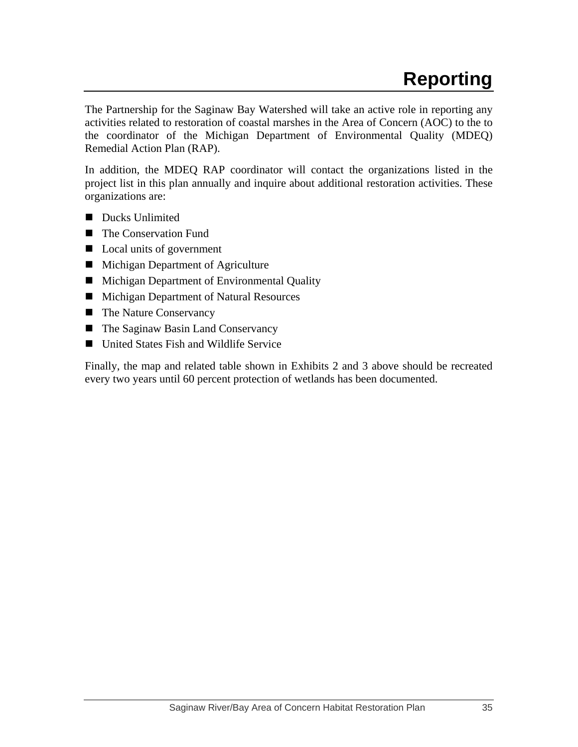The Partnership for the Saginaw Bay Watershed will take an active role in reporting any activities related to restoration of coastal marshes in the Area of Concern (AOC) to the to the coordinator of the Michigan Department of Environmental Quality (MDEQ) Remedial Action Plan (RAP).

In addition, the MDEQ RAP coordinator will contact the organizations listed in the project list in this plan annually and inquire about additional restoration activities. These organizations are:

- Ducks Unlimited
- The Conservation Fund
- Local units of government
- **Michigan Department of Agriculture**
- **Michigan Department of Environmental Quality**
- **Michigan Department of Natural Resources**
- The Nature Conservancy
- The Saginaw Basin Land Conservancy
- United States Fish and Wildlife Service

Finally, the map and related table shown in Exhibits 2 and 3 above should be recreated every two years until 60 percent protection of wetlands has been documented.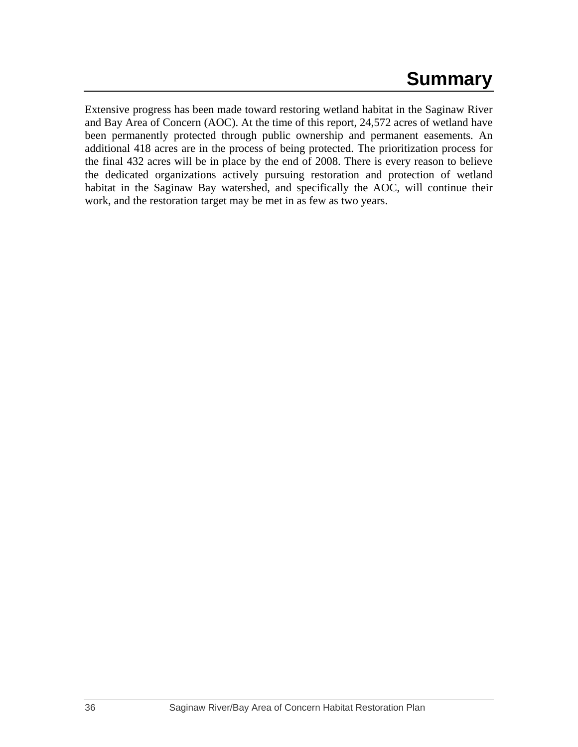# **Summary**

Extensive progress has been made toward restoring wetland habitat in the Saginaw River and Bay Area of Concern (AOC). At the time of this report, 24,572 acres of wetland have been permanently protected through public ownership and permanent easements. An additional 418 acres are in the process of being protected. The prioritization process for the final 432 acres will be in place by the end of 2008. There is every reason to believe the dedicated organizations actively pursuing restoration and protection of wetland habitat in the Saginaw Bay watershed, and specifically the AOC, will continue their work, and the restoration target may be met in as few as two years.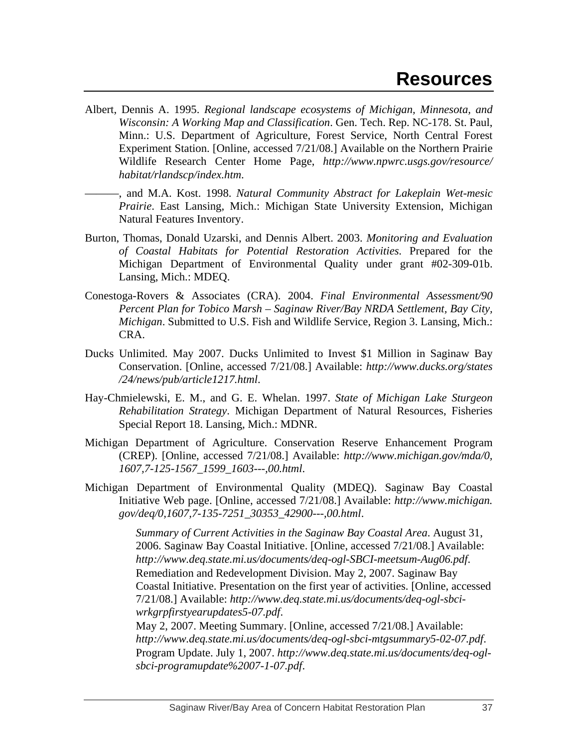- Albert, Dennis A. 1995. *Regional landscape ecosystems of Michigan, Minnesota, and Wisconsin: A Working Map and Classification*. Gen. Tech. Rep. NC-178. St. Paul, Minn.: U.S. Department of Agriculture, Forest Service, North Central Forest Experiment Station. [Online, accessed 7/21/08.] Available on the Northern Prairie Wildlife Research Center Home Page, *http://www.npwrc.usgs.gov/resource/ habitat/rlandscp/index.htm*.
	- ———, and M.A. Kost. 1998. *Natural Community Abstract for Lakeplain Wet-mesic Prairie*. East Lansing, Mich.: Michigan State University Extension, Michigan Natural Features Inventory.
- Burton, Thomas, Donald Uzarski, and Dennis Albert. 2003. *Monitoring and Evaluation of Coastal Habitats for Potential Restoration Activities*. Prepared for the Michigan Department of Environmental Quality under grant #02-309-01b. Lansing, Mich.: MDEQ.
- Conestoga-Rovers & Associates (CRA). 2004. *Final Environmental Assessment/90 Percent Plan for Tobico Marsh – Saginaw River/Bay NRDA Settlement, Bay City, Michigan*. Submitted to U.S. Fish and Wildlife Service, Region 3. Lansing, Mich.: CRA.
- Ducks Unlimited. May 2007. Ducks Unlimited to Invest \$1 Million in Saginaw Bay Conservation. [Online, accessed 7/21/08.] Available: *http://www.ducks.org/states /24/news/pub/article1217.html*.
- Hay-Chmielewski, E. M., and G. E. Whelan. 1997. *State of Michigan Lake Sturgeon Rehabilitation Strategy*. Michigan Department of Natural Resources, Fisheries Special Report 18. Lansing, Mich.: MDNR.
- Michigan Department of Agriculture. Conservation Reserve Enhancement Program (CREP). [Online, accessed 7/21/08.] Available: *http://www.michigan.gov/mda/0, 1607,7-125-1567\_1599\_1603---,00.html*.
- Michigan Department of Environmental Quality (MDEQ). Saginaw Bay Coastal Initiative Web page. [Online, accessed 7/21/08.] Available: *http://www.michigan. gov/deq/0,1607,7-135-7251\_30353\_42900---,00.html*.

*Summary of Current Activities in the Saginaw Bay Coastal Area*. August 31, 2006. Saginaw Bay Coastal Initiative. [Online, accessed 7/21/08.] Available: *http://www.deq.state.mi.us/documents/deq-ogl-SBCI-meetsum-Aug06.pdf*. Remediation and Redevelopment Division. May 2, 2007. Saginaw Bay Coastal Initiative. Presentation on the first year of activities. [Online, accessed 7/21/08.] Available: *http://www.deq.state.mi.us/documents/deq-ogl-sbciwrkgrpfirstyearupdates5-07.pdf*.

May 2, 2007. Meeting Summary. [Online, accessed 7/21/08.] Available: *http://www.deq.state.mi.us/documents/deq-ogl-sbci-mtgsummary5-02-07.pdf*. Program Update. July 1, 2007. *http://www.deq.state.mi.us/documents/deq-oglsbci-programupdate%2007-1-07.pdf*.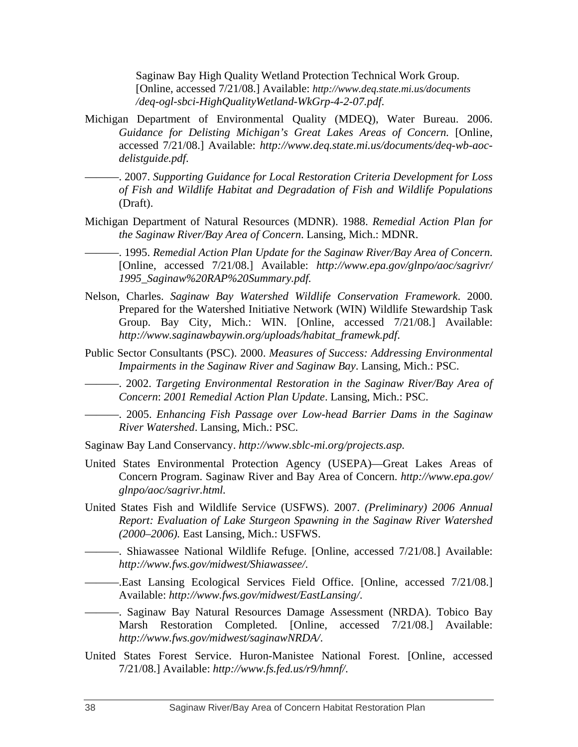Saginaw Bay High Quality Wetland Protection Technical Work Group. [Online, accessed 7/21/08.] Available: *http://www.deq.state.mi.us/documents /deq-ogl-sbci-HighQualityWetland-WkGrp-4-2-07.pdf*.

- Michigan Department of Environmental Quality (MDEQ), Water Bureau. 2006. *Guidance for Delisting Michigan's Great Lakes Areas of Concern.* [Online, accessed 7/21/08.] Available: *http://www.deq.state.mi.us/documents/deq-wb-aocdelistguide.pdf*.
- ———. 2007. *Supporting Guidance for Local Restoration Criteria Development for Loss of Fish and Wildlife Habitat and Degradation of Fish and Wildlife Populations* (Draft).
- Michigan Department of Natural Resources (MDNR). 1988. *Remedial Action Plan for the Saginaw River/Bay Area of Concern*. Lansing, Mich.: MDNR.
	- ———. 1995. *Remedial Action Plan Update for the Saginaw River/Bay Area of Concern*. [Online, accessed 7/21/08.] Available: *http://www.epa.gov/glnpo/aoc/sagrivr/ 1995\_Saginaw%20RAP%20Summary.pdf.*
- Nelson, Charles. *Saginaw Bay Watershed Wildlife Conservation Framework*. 2000. Prepared for the Watershed Initiative Network (WIN) Wildlife Stewardship Task Group. Bay City, Mich.: WIN. [Online, accessed 7/21/08.] Available: *http://www.saginawbaywin.org/uploads/habitat\_framewk.pdf*.
- Public Sector Consultants (PSC). 2000. *Measures of Success: Addressing Environmental Impairments in the Saginaw River and Saginaw Bay*. Lansing, Mich.: PSC.

———. 2002. *Targeting Environmental Restoration in the Saginaw River/Bay Area of Concern*: *2001 Remedial Action Plan Update*. Lansing, Mich.: PSC.

———. 2005. *Enhancing Fish Passage over Low-head Barrier Dams in the Saginaw River Watershed*. Lansing, Mich.: PSC.

- Saginaw Bay Land Conservancy. *http://www.sblc-mi.org/projects.asp.*
- United States Environmental Protection Agency (USEPA)—Great Lakes Areas of Concern Program. Saginaw River and Bay Area of Concern. *http://www.epa.gov/ glnpo/aoc/sagrivr.html.*
- United States Fish and Wildlife Service (USFWS). 2007. *(Preliminary) 2006 Annual Report: Evaluation of Lake Sturgeon Spawning in the Saginaw River Watershed (2000–2006).* East Lansing, Mich.: USFWS.
- ———. Shiawassee National Wildlife Refuge. [Online, accessed 7/21/08.] Available: *http://www.fws.gov/midwest/Shiawassee/*.
- ———.East Lansing Ecological Services Field Office. [Online, accessed 7/21/08.] Available: *http://www.fws.gov/midwest/EastLansing/*.
- ———. Saginaw Bay Natural Resources Damage Assessment (NRDA). Tobico Bay Marsh Restoration Completed. [Online, accessed 7/21/08.] Available: *http://www.fws.gov/midwest/saginawNRDA/*.
- United States Forest Service. Huron-Manistee National Forest. [Online, accessed 7/21/08.] Available: *http://www.fs.fed.us/r9/hmnf/*.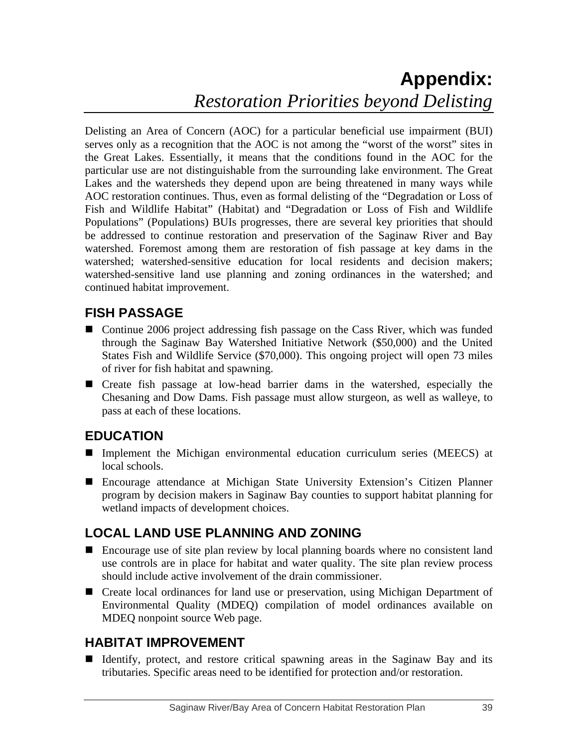# **Appendix:**  *Restoration Priorities beyond Delisting*

Delisting an Area of Concern (AOC) for a particular beneficial use impairment (BUI) serves only as a recognition that the AOC is not among the "worst of the worst" sites in the Great Lakes. Essentially, it means that the conditions found in the AOC for the particular use are not distinguishable from the surrounding lake environment. The Great Lakes and the watersheds they depend upon are being threatened in many ways while AOC restoration continues. Thus, even as formal delisting of the "Degradation or Loss of Fish and Wildlife Habitat" (Habitat) and "Degradation or Loss of Fish and Wildlife Populations" (Populations) BUIs progresses, there are several key priorities that should be addressed to continue restoration and preservation of the Saginaw River and Bay watershed. Foremost among them are restoration of fish passage at key dams in the watershed; watershed-sensitive education for local residents and decision makers; watershed-sensitive land use planning and zoning ordinances in the watershed; and continued habitat improvement.

## **FISH PASSAGE**

- Continue 2006 project addressing fish passage on the Cass River, which was funded through the Saginaw Bay Watershed Initiative Network (\$50,000) and the United States Fish and Wildlife Service (\$70,000). This ongoing project will open 73 miles of river for fish habitat and spawning.
- Create fish passage at low-head barrier dams in the watershed, especially the Chesaning and Dow Dams. Fish passage must allow sturgeon, as well as walleye, to pass at each of these locations.

# **EDUCATION**

- Implement the Michigan environmental education curriculum series (MEECS) at local schools.
- Encourage attendance at Michigan State University Extension's Citizen Planner program by decision makers in Saginaw Bay counties to support habitat planning for wetland impacts of development choices.

# **LOCAL LAND USE PLANNING AND ZONING**

- Encourage use of site plan review by local planning boards where no consistent land use controls are in place for habitat and water quality. The site plan review process should include active involvement of the drain commissioner.
- Create local ordinances for land use or preservation, using Michigan Department of Environmental Quality (MDEQ) compilation of model ordinances available on MDEQ nonpoint source Web page.

## **HABITAT IMPROVEMENT**

 Identify, protect, and restore critical spawning areas in the Saginaw Bay and its tributaries. Specific areas need to be identified for protection and/or restoration.